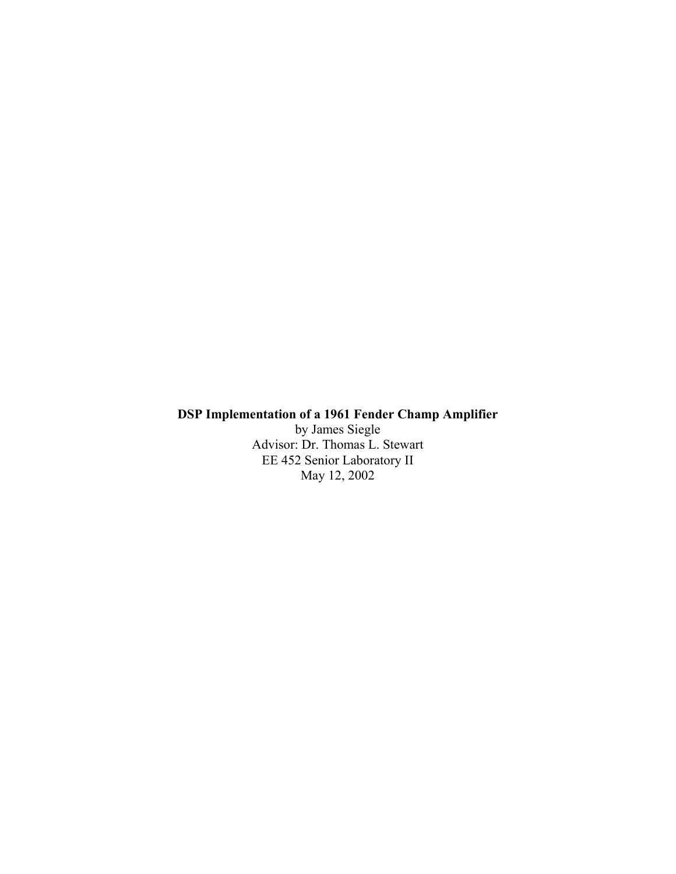#### **DSP Implementation of a 1961 Fender Champ Amplifier**

by James Siegle Advisor: Dr. Thomas L. Stewart EE 452 Senior Laboratory II May 12, 2002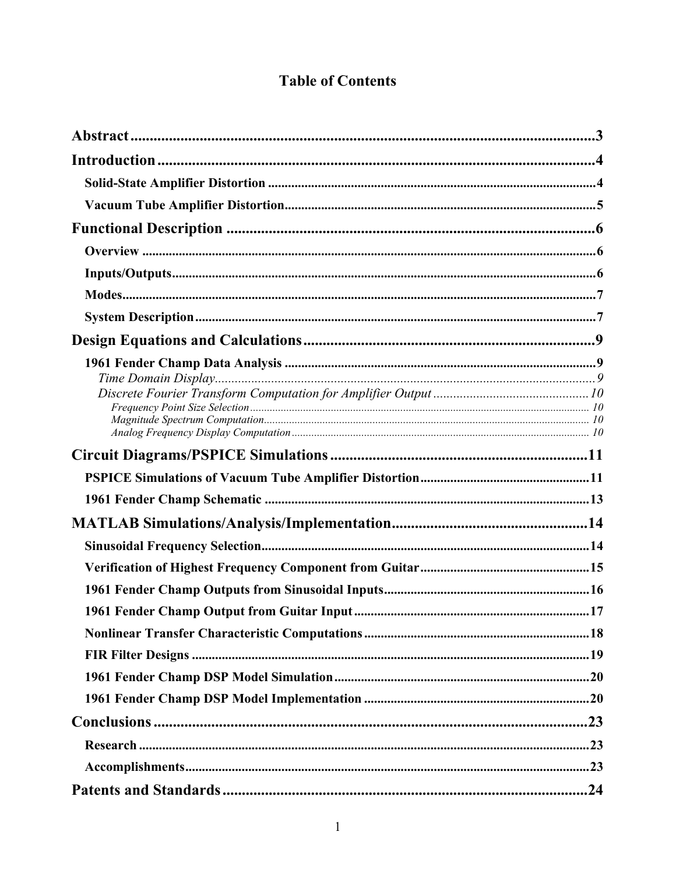# **Table of Contents**

| $\bf{InputStream.} 6$ |  |
|-----------------------|--|
|                       |  |
|                       |  |
|                       |  |
|                       |  |
|                       |  |
|                       |  |
|                       |  |
|                       |  |
|                       |  |
|                       |  |
|                       |  |
|                       |  |
|                       |  |
|                       |  |
|                       |  |
|                       |  |
|                       |  |
|                       |  |
|                       |  |
|                       |  |
|                       |  |
|                       |  |
|                       |  |
|                       |  |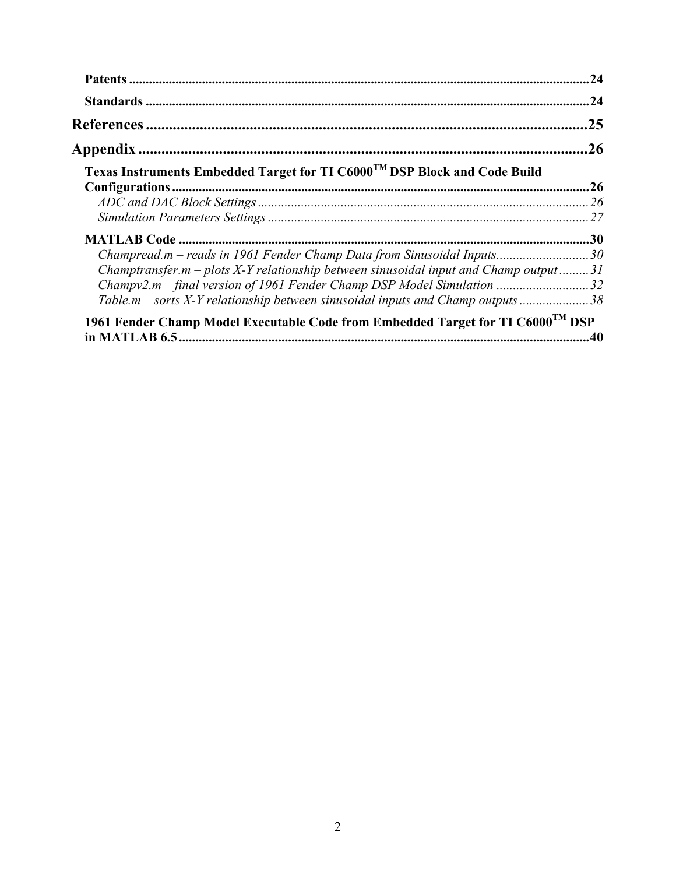|                                                                                             | .24 |
|---------------------------------------------------------------------------------------------|-----|
|                                                                                             |     |
|                                                                                             | .25 |
|                                                                                             | .26 |
| Texas Instruments Embedded Target for TI C6000 <sup>TM</sup> DSP Block and Code Build       |     |
|                                                                                             |     |
|                                                                                             |     |
|                                                                                             |     |
|                                                                                             |     |
| Champread.m - reads in 1961 Fender Champ Data from Sinusoidal Inputs30                      |     |
| Champtransfer.m – plots $X$ -Y relationship between sinusoidal input and Champ output 31    |     |
|                                                                                             |     |
| Table.m – sorts X-Y relationship between sinusoidal inputs and Champ outputs 38             |     |
| 1961 Fender Champ Model Executable Code from Embedded Target for TI C6000 <sup>TM</sup> DSP |     |
|                                                                                             |     |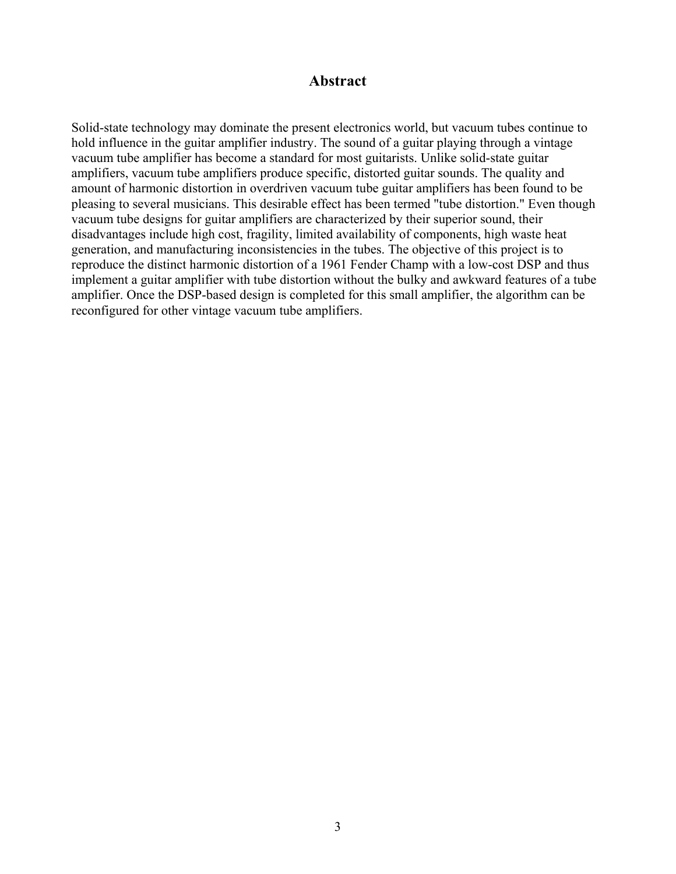# **Abstract**

Solid-state technology may dominate the present electronics world, but vacuum tubes continue to hold influence in the guitar amplifier industry. The sound of a guitar playing through a vintage vacuum tube amplifier has become a standard for most guitarists. Unlike solid-state guitar amplifiers, vacuum tube amplifiers produce specific, distorted guitar sounds. The quality and amount of harmonic distortion in overdriven vacuum tube guitar amplifiers has been found to be pleasing to several musicians. This desirable effect has been termed "tube distortion." Even though vacuum tube designs for guitar amplifiers are characterized by their superior sound, their disadvantages include high cost, fragility, limited availability of components, high waste heat generation, and manufacturing inconsistencies in the tubes. The objective of this project is to reproduce the distinct harmonic distortion of a 1961 Fender Champ with a low-cost DSP and thus implement a guitar amplifier with tube distortion without the bulky and awkward features of a tube amplifier. Once the DSP-based design is completed for this small amplifier, the algorithm can be reconfigured for other vintage vacuum tube amplifiers.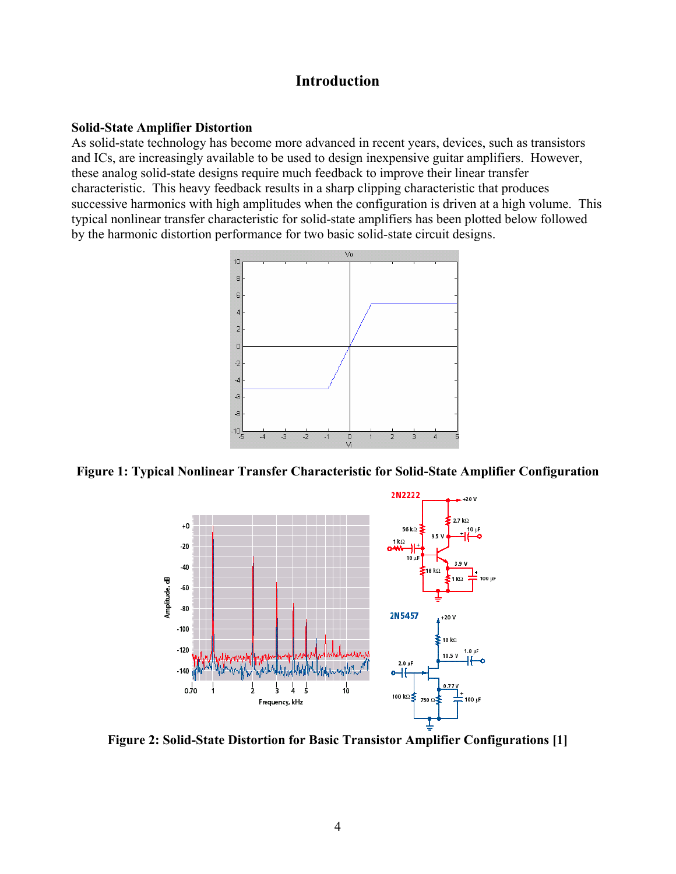# **Introduction**

#### **Solid-State Amplifier Distortion**

As solid-state technology has become more advanced in recent years, devices, such as transistors and ICs, are increasingly available to be used to design inexpensive guitar amplifiers. However, these analog solid-state designs require much feedback to improve their linear transfer characteristic. This heavy feedback results in a sharp clipping characteristic that produces successive harmonics with high amplitudes when the configuration is driven at a high volume. This typical nonlinear transfer characteristic for solid-state amplifiers has been plotted below followed by the harmonic distortion performance for two basic solid-state circuit designs.



**Figure 1: Typical Nonlinear Transfer Characteristic for Solid-State Amplifier Configuration** 



**Figure 2: Solid-State Distortion for Basic Transistor Amplifier Configurations [1]**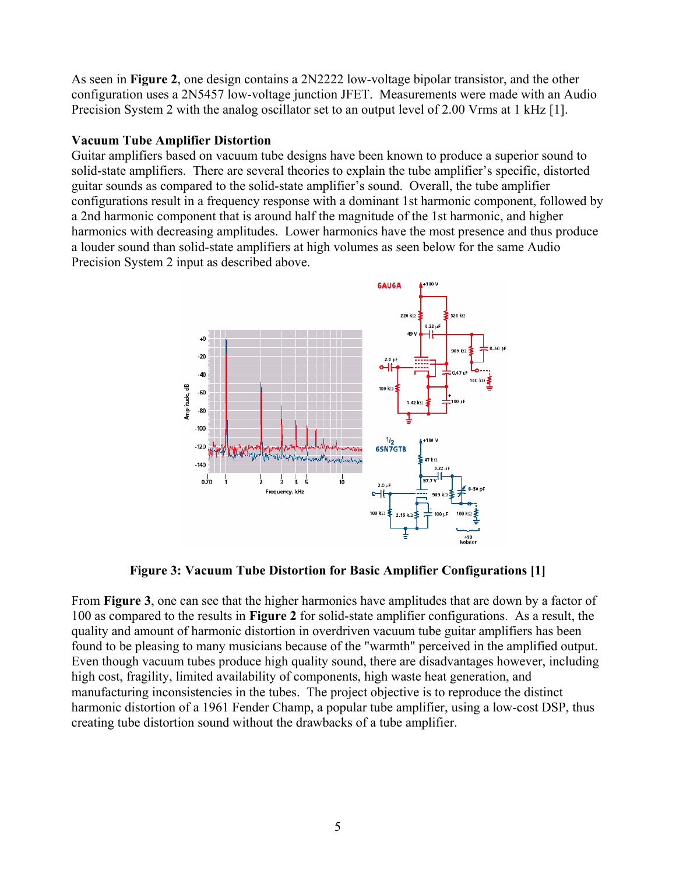As seen in **Figure 2**, one design contains a 2N2222 low-voltage bipolar transistor, and the other configuration uses a 2N5457 low-voltage junction JFET. Measurements were made with an Audio Precision System 2 with the analog oscillator set to an output level of 2.00 Vrms at 1 kHz [1].

# **Vacuum Tube Amplifier Distortion**

Guitar amplifiers based on vacuum tube designs have been known to produce a superior sound to solid-state amplifiers. There are several theories to explain the tube amplifier's specific, distorted guitar sounds as compared to the solid-state amplifier's sound. Overall, the tube amplifier configurations result in a frequency response with a dominant 1st harmonic component, followed by a 2nd harmonic component that is around half the magnitude of the 1st harmonic, and higher harmonics with decreasing amplitudes. Lower harmonics have the most presence and thus produce a louder sound than solid-state amplifiers at high volumes as seen below for the same Audio Precision System 2 input as described above.



**Figure 3: Vacuum Tube Distortion for Basic Amplifier Configurations [1]** 

From **Figure 3**, one can see that the higher harmonics have amplitudes that are down by a factor of 100 as compared to the results in **Figure 2** for solid-state amplifier configurations. As a result, the quality and amount of harmonic distortion in overdriven vacuum tube guitar amplifiers has been found to be pleasing to many musicians because of the "warmth" perceived in the amplified output. Even though vacuum tubes produce high quality sound, there are disadvantages however, including high cost, fragility, limited availability of components, high waste heat generation, and manufacturing inconsistencies in the tubes. The project objective is to reproduce the distinct harmonic distortion of a 1961 Fender Champ, a popular tube amplifier, using a low-cost DSP, thus creating tube distortion sound without the drawbacks of a tube amplifier.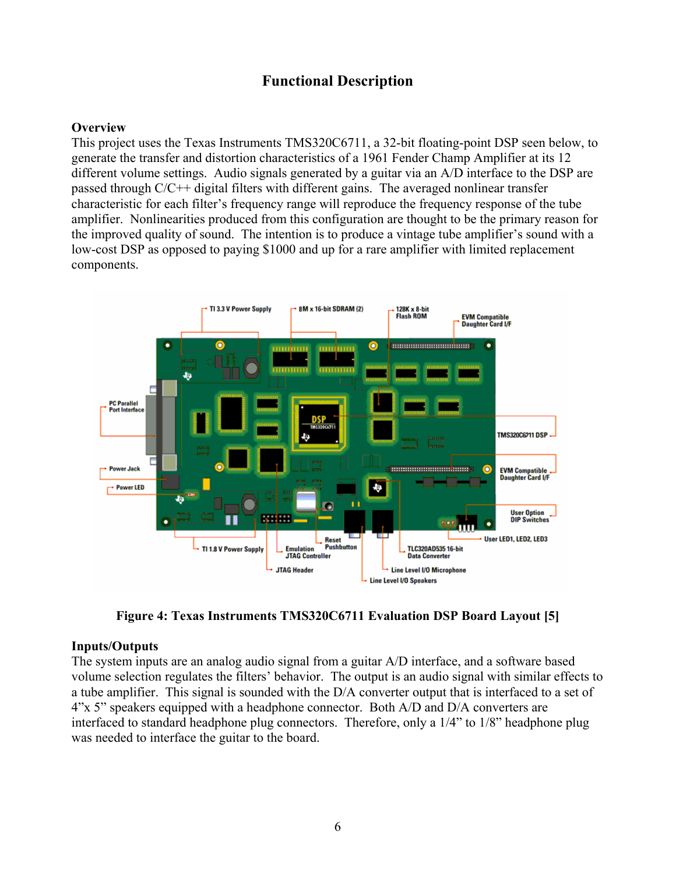# **Functional Description**

# **Overview**

This project uses the Texas Instruments TMS320C6711, a 32-bit floating-point DSP seen below, to generate the transfer and distortion characteristics of a 1961 Fender Champ Amplifier at its 12 different volume settings. Audio signals generated by a guitar via an A/D interface to the DSP are passed through C/C++ digital filters with different gains. The averaged nonlinear transfer characteristic for each filter's frequency range will reproduce the frequency response of the tube amplifier. Nonlinearities produced from this configuration are thought to be the primary reason for the improved quality of sound. The intention is to produce a vintage tube amplifier's sound with a low-cost DSP as opposed to paying \$1000 and up for a rare amplifier with limited replacement components.



**Figure 4: Texas Instruments TMS320C6711 Evaluation DSP Board Layout [5]** 

# **Inputs/Outputs**

The system inputs are an analog audio signal from a guitar A/D interface, and a software based volume selection regulates the filters' behavior. The output is an audio signal with similar effects to a tube amplifier. This signal is sounded with the D/A converter output that is interfaced to a set of 4"x 5" speakers equipped with a headphone connector. Both A/D and D/A converters are interfaced to standard headphone plug connectors. Therefore, only a 1/4" to 1/8" headphone plug was needed to interface the guitar to the board.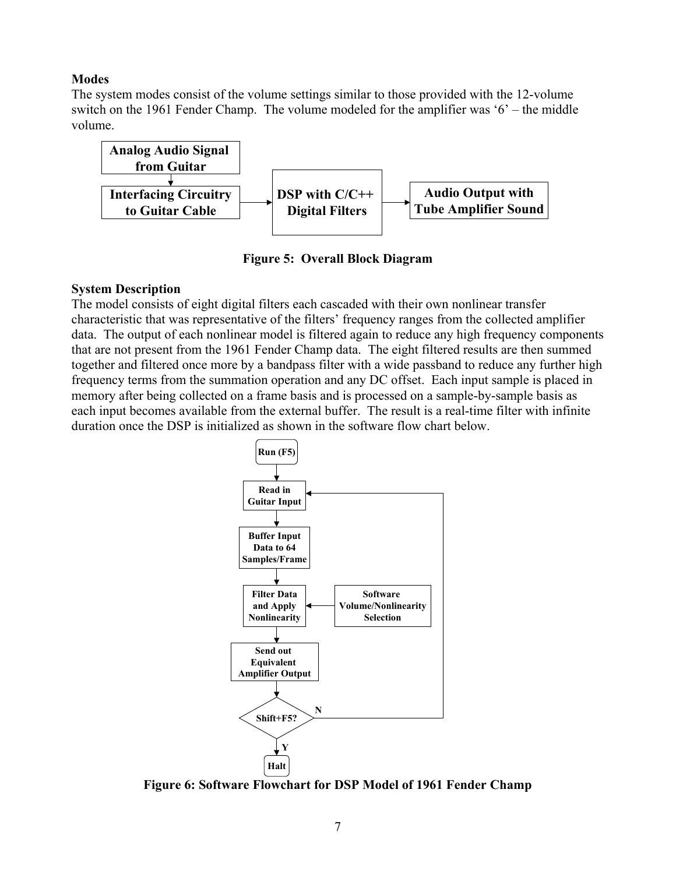# **Modes**

The system modes consist of the volume settings similar to those provided with the 12-volume switch on the 1961 Fender Champ. The volume modeled for the amplifier was '6' – the middle volume.



**Figure 5: Overall Block Diagram** 

#### **System Description**

The model consists of eight digital filters each cascaded with their own nonlinear transfer characteristic that was representative of the filters' frequency ranges from the collected amplifier data. The output of each nonlinear model is filtered again to reduce any high frequency components that are not present from the 1961 Fender Champ data. The eight filtered results are then summed together and filtered once more by a bandpass filter with a wide passband to reduce any further high frequency terms from the summation operation and any DC offset. Each input sample is placed in memory after being collected on a frame basis and is processed on a sample-by-sample basis as each input becomes available from the external buffer. The result is a real-time filter with infinite duration once the DSP is initialized as shown in the software flow chart below.



**Figure 6: Software Flowchart for DSP Model of 1961 Fender Champ**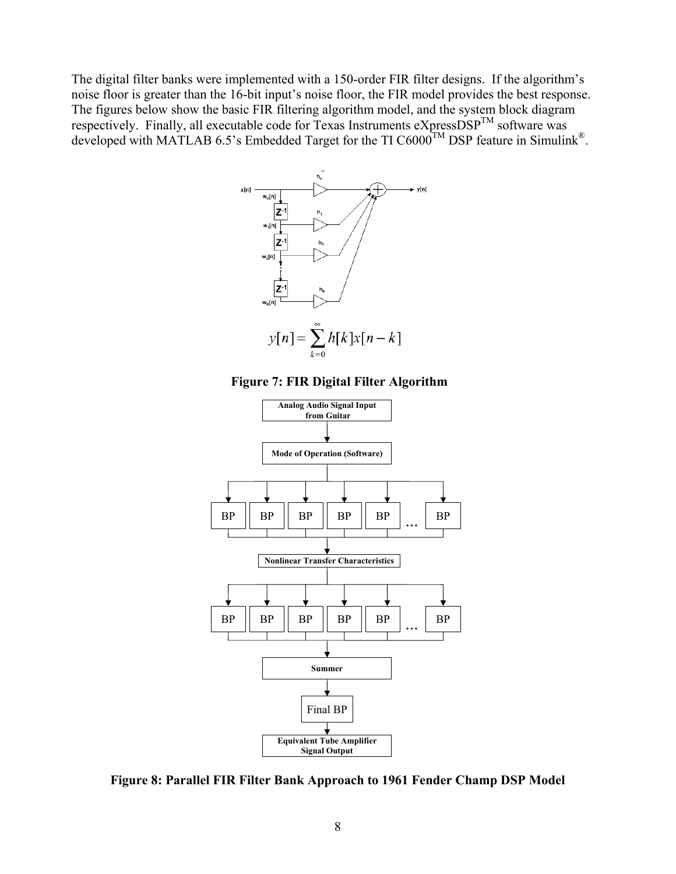The digital filter banks were implemented with a 150-order FIR filter designs. If the algorithm's noise floor is greater than the 16-bit input's noise floor, the FIR model provides the best response. The figures below show the basic FIR filtering algorithm model, and the system block diagram respectively. Finally, all executable code for Texas Instruments eXpressDSP<sup>TM</sup> software was developed with MATLAB 6.5's Embedded Target for the TI C6000<sup>TM</sup> DSP feature in Simulink<sup>®</sup>.







**Figure 8: Parallel FIR Filter Bank Approach to 1961 Fender Champ DSP Model**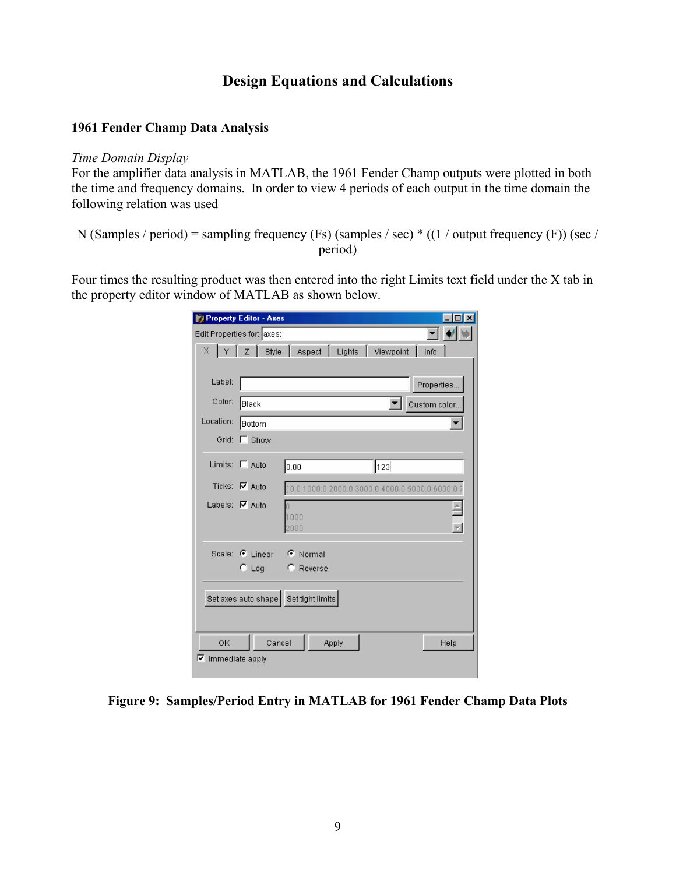# **Design Equations and Calculations**

# **1961 Fender Champ Data Analysis**

#### *Time Domain Display*

For the amplifier data analysis in MATLAB, the 1961 Fender Champ outputs were plotted in both the time and frequency domains. In order to view 4 periods of each output in the time domain the following relation was used

N (Samples / period) = sampling frequency (Fs) (samples / sec)  $*(1/$  output frequency (F)) (sec / period)

Four times the resulting product was then entered into the right Limits text field under the X tab in the property editor window of MATLAB as shown below.

|                          | <b>Property Editor - Axes</b> |                                                |               |
|--------------------------|-------------------------------|------------------------------------------------|---------------|
|                          | Edit Properties for: axes:    |                                                |               |
|                          | $X \mid Y \mid Z \mid$ Style  | Aspect   Lights   Viewpoint                    | Info          |
|                          |                               |                                                |               |
| Label:                   |                               |                                                | Properties    |
| Color:                   | ∥Black                        |                                                | Custom color. |
| Location:                | <b>Bottom</b>                 |                                                |               |
| Grid:                    | $\Gamma$ Show                 |                                                |               |
|                          | Limits:   Auto                | 123<br>0.00                                    |               |
|                          | Ticks: $\nabla$ Auto          | [0.0 1000.0 2000.0 3000.0 4000.0 5000.0 6000.0 |               |
| Labels: $\nabla$ Auto    |                               |                                                |               |
|                          |                               | 1000<br>2000                                   |               |
|                          |                               |                                                |               |
|                          | Scale: C Linear C Normal      |                                                |               |
|                          | $C$ Log                       | <b>C</b> Reverse                               |               |
|                          |                               |                                                |               |
|                          |                               | Set axes auto shape   Set tight limits         |               |
|                          |                               |                                                |               |
| 0K                       | Cancel                        | Apply                                          | Help          |
| $\nabla$ Immediate apply |                               |                                                |               |

**Figure 9: Samples/Period Entry in MATLAB for 1961 Fender Champ Data Plots**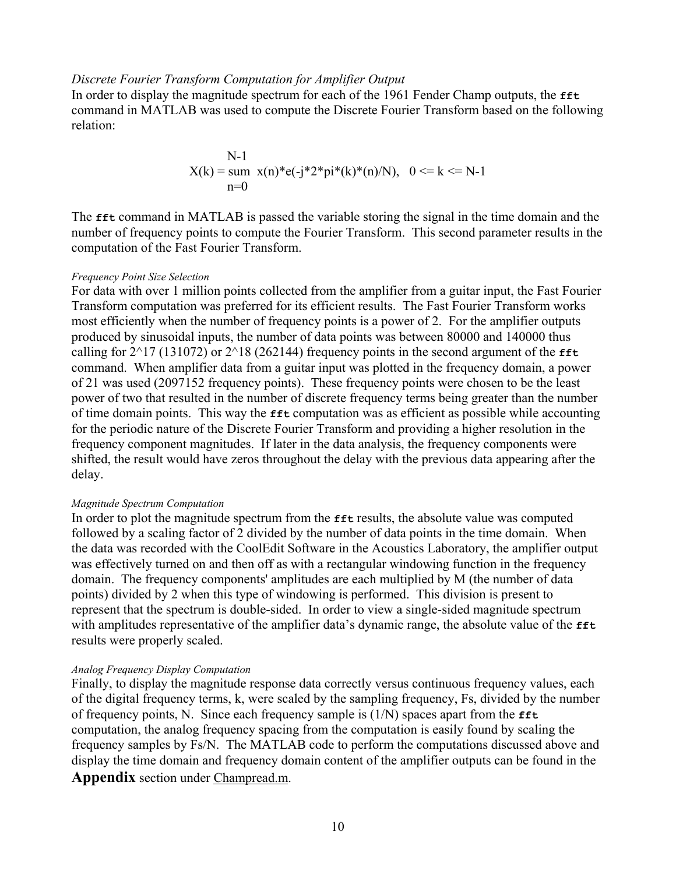#### *Discrete Fourier Transform Computation for Amplifier Output*

In order to display the magnitude spectrum for each of the 1961 Fender Champ outputs, the **fft** command in MATLAB was used to compute the Discrete Fourier Transform based on the following relation:

N-1  

$$
X(k) = \text{sum } x(n)^* e(-j^* 2^* pi^*(k)^*(n)/N), \quad 0 \le k \le N-1
$$
  
n=0

The **fft** command in MATLAB is passed the variable storing the signal in the time domain and the number of frequency points to compute the Fourier Transform. This second parameter results in the computation of the Fast Fourier Transform.

#### *Frequency Point Size Selection*

For data with over 1 million points collected from the amplifier from a guitar input, the Fast Fourier Transform computation was preferred for its efficient results. The Fast Fourier Transform works most efficiently when the number of frequency points is a power of 2. For the amplifier outputs produced by sinusoidal inputs, the number of data points was between 80000 and 140000 thus calling for  $2^{\wedge}17$  (131072) or  $2^{\wedge}18$  (262144) frequency points in the second argument of the  $fft$ command. When amplifier data from a guitar input was plotted in the frequency domain, a power of 21 was used (2097152 frequency points). These frequency points were chosen to be the least power of two that resulted in the number of discrete frequency terms being greater than the number of time domain points. This way the **fft** computation was as efficient as possible while accounting for the periodic nature of the Discrete Fourier Transform and providing a higher resolution in the frequency component magnitudes. If later in the data analysis, the frequency components were shifted, the result would have zeros throughout the delay with the previous data appearing after the delay.

#### *Magnitude Spectrum Computation*

In order to plot the magnitude spectrum from the **fft** results, the absolute value was computed followed by a scaling factor of 2 divided by the number of data points in the time domain. When the data was recorded with the CoolEdit Software in the Acoustics Laboratory, the amplifier output was effectively turned on and then off as with a rectangular windowing function in the frequency domain. The frequency components' amplitudes are each multiplied by M (the number of data points) divided by 2 when this type of windowing is performed. This division is present to represent that the spectrum is double-sided. In order to view a single-sided magnitude spectrum with amplitudes representative of the amplifier data's dynamic range, the absolute value of the **fft** results were properly scaled.

#### *Analog Frequency Display Computation*

Finally, to display the magnitude response data correctly versus continuous frequency values, each of the digital frequency terms, k, were scaled by the sampling frequency, Fs, divided by the number of frequency points, N. Since each frequency sample is (1/N) spaces apart from the **fft** computation, the analog frequency spacing from the computation is easily found by scaling the frequency samples by Fs/N. The MATLAB code to perform the computations discussed above and display the time domain and frequency domain content of the amplifier outputs can be found in the **Appendix** section under Champread.m.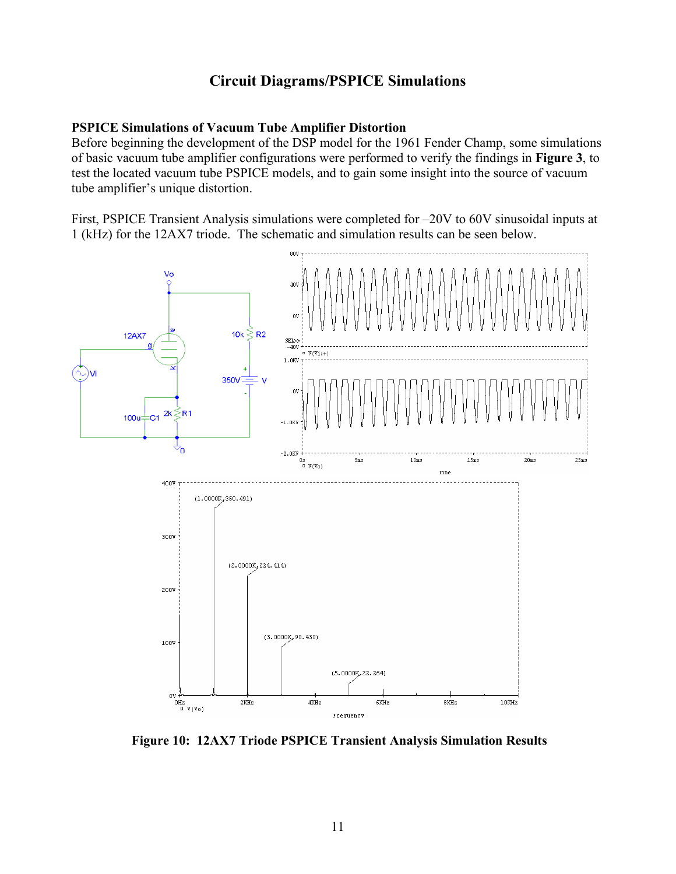# **Circuit Diagrams/PSPICE Simulations**

# **PSPICE Simulations of Vacuum Tube Amplifier Distortion**

Before beginning the development of the DSP model for the 1961 Fender Champ, some simulations of basic vacuum tube amplifier configurations were performed to verify the findings in **Figure 3**, to test the located vacuum tube PSPICE models, and to gain some insight into the source of vacuum tube amplifier's unique distortion.

First, PSPICE Transient Analysis simulations were completed for –20V to 60V sinusoidal inputs at 1 (kHz) for the 12AX7 triode. The schematic and simulation results can be seen below.



 **Figure 10: 12AX7 Triode PSPICE Transient Analysis Simulation Results**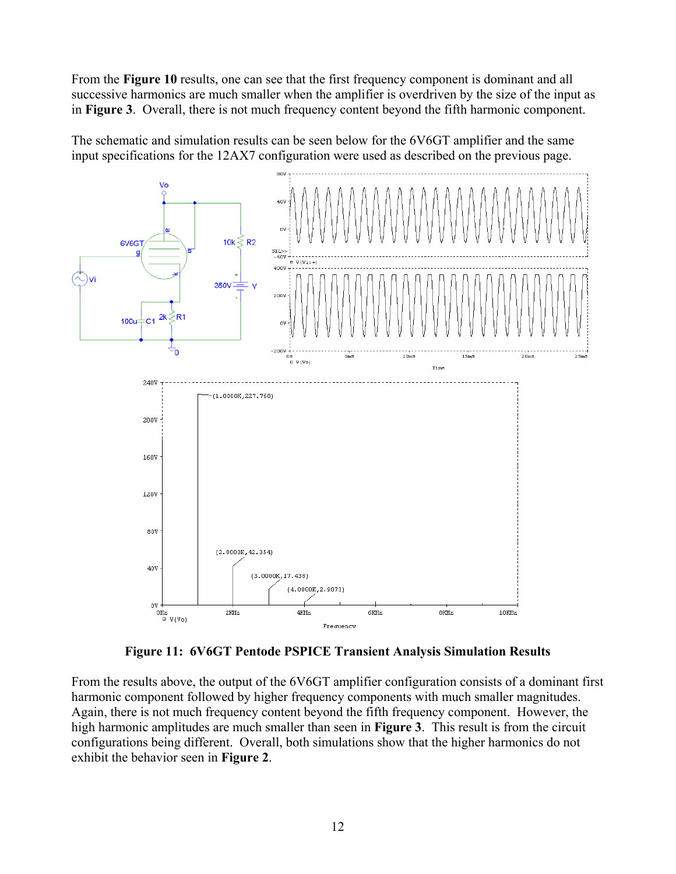From the **Figure 10** results, one can see that the first frequency component is dominant and all successive harmonics are much smaller when the amplifier is overdriven by the size of the input as in **Figure 3**. Overall, there is not much frequency content beyond the fifth harmonic component.

The schematic and simulation results can be seen below for the 6V6GT amplifier and the same input specifications for the 12AX7 configuration were used as described on the previous page.



**Figure 11: 6V6GT Pentode PSPICE Transient Analysis Simulation Results** 

From the results above, the output of the 6V6GT amplifier configuration consists of a dominant first harmonic component followed by higher frequency components with much smaller magnitudes. Again, there is not much frequency content beyond the fifth frequency component. However, the high harmonic amplitudes are much smaller than seen in **Figure 3**. This result is from the circuit configurations being different. Overall, both simulations show that the higher harmonics do not exhibit the behavior seen in **Figure 2**.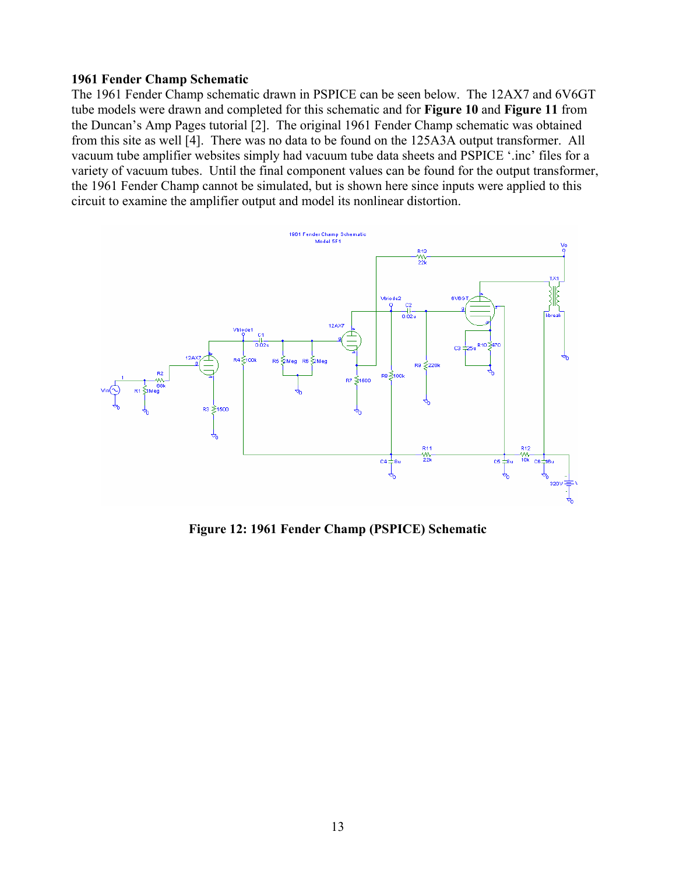# **1961 Fender Champ Schematic**

The 1961 Fender Champ schematic drawn in PSPICE can be seen below. The 12AX7 and 6V6GT tube models were drawn and completed for this schematic and for **Figure 10** and **Figure 11** from the Duncan's Amp Pages tutorial [2]. The original 1961 Fender Champ schematic was obtained from this site as well [4]. There was no data to be found on the 125A3A output transformer. All vacuum tube amplifier websites simply had vacuum tube data sheets and PSPICE '.inc' files for a variety of vacuum tubes. Until the final component values can be found for the output transformer, the 1961 Fender Champ cannot be simulated, but is shown here since inputs were applied to this circuit to examine the amplifier output and model its nonlinear distortion.



**Figure 12: 1961 Fender Champ (PSPICE) Schematic**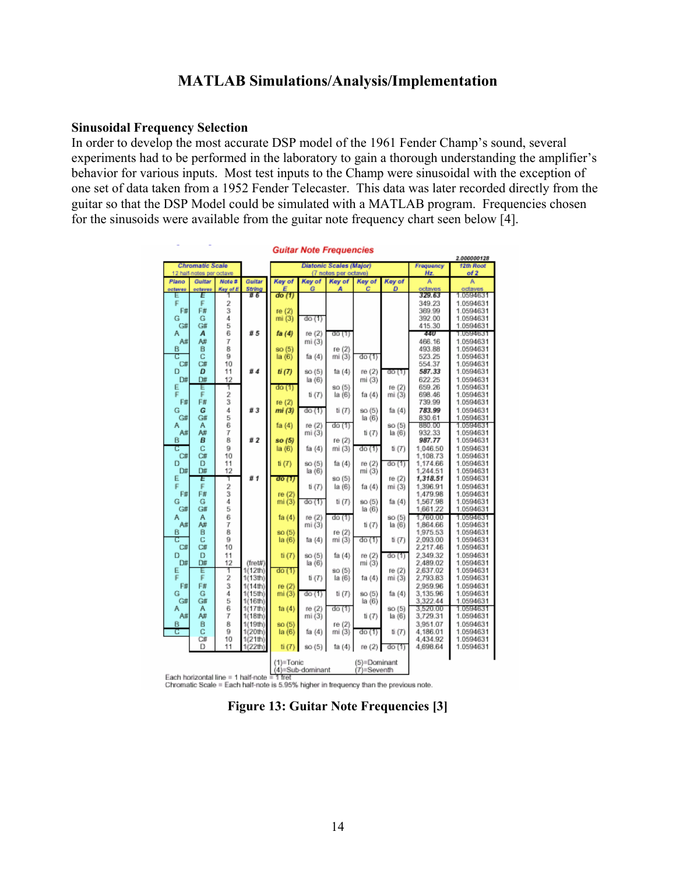# **MATLAB Simulations/Analysis/Implementation**

#### **Sinusoidal Frequency Selection**

In order to develop the most accurate DSP model of the 1961 Fender Champ's sound, several experiments had to be performed in the laboratory to gain a thorough understanding the amplifier's behavior for various inputs. Most test inputs to the Champ were sinusoidal with the exception of one set of data taken from a 1952 Fender Telecaster. This data was later recorded directly from the guitar so that the DSP Model could be simulated with a MATLAB program. Frequencies chosen for the sinusoids were available from the guitar note frequency chart seen below [4].

|                                             |         |                 |                    |                 |                                                 | <b>Guitar Note Frequencies</b> |                  |        |                      |                        |
|---------------------------------------------|---------|-----------------|--------------------|-----------------|-------------------------------------------------|--------------------------------|------------------|--------|----------------------|------------------------|
|                                             |         |                 |                    |                 |                                                 |                                |                  |        | Frequency            | 2.000000128            |
| Chromatic Scale<br>12 half-notes per octave |         |                 |                    |                 | Diatonic Scales (Major)<br>(7 notes per octave) |                                |                  |        |                      | 12th Root<br>of 2      |
| Plano                                       | Gultar  | Note #          | Guitar             | Key of          | Kay of                                          | Key of                         | <b>Kev of</b>    | Key of | Hz<br>A              | Ä                      |
| octaves                                     | octaves | <b>Key of E</b> | String             | Е               | G                                               | А                              | c                | D      | octaves              | octaves                |
| Ε                                           | Ε       |                 | I 6                | do(1)           |                                                 |                                |                  |        | 329.63               | 1.0594631              |
| F                                           | F       | 2               |                    |                 |                                                 |                                |                  |        | 349.23               | 1.0594631              |
| F#                                          | F#      | 3               |                    | re (2)          |                                                 |                                |                  |        | 369.99               | 1.0594631              |
| G                                           | G       | 4               |                    | mi(3)           | do(1)                                           |                                |                  |        | 392.00               | 1.0594631              |
| G#<br>А                                     | G#<br>A | 5<br>6          | <b>#5</b>          | fa (4)          | re (2)                                          |                                |                  |        | 415.30<br>44U        | 1.0594631<br>1.0594631 |
| A#                                          | A#      | 7               |                    |                 | mi (3)                                          | do (1)                         |                  |        | 466.16               | 1.0594631              |
| B                                           | B       | 8               |                    | so (5)          |                                                 | re (2)                         |                  |        | 493.88               | 1.0594631              |
| С                                           | Ċ       | 9               |                    | la (6)          | fa (4)                                          | mi (3)                         | do (1)           |        | 523.25               | 1.0594631              |
| С#                                          | C#      | 10              |                    |                 |                                                 |                                |                  |        | 554.37               | 1.0594631              |
| D                                           | D       | 11              | ü d                | ti(7)           | so (5)                                          | ta (4)                         | re (2)           | 00 (1) | 587.33               | 1.0594631              |
| Dø                                          | D#      | 12              |                    |                 | $\ln(6)$                                        |                                | mi (3)           |        | 622.25               | 1.0594631              |
| E                                           | Ε       | 1               |                    | do (1)          |                                                 | so (5)                         |                  | re (2) | 659.26               | 1.0594631              |
| F<br>F#                                     | F<br>F# | 2<br>3          |                    | re (2)          | ti (7)                                          | la (6)                         | fa (4)           | mi (3) | 698.46<br>739.99     | 1.0594631<br>1.0594631 |
| Ğ                                           | G       | $\ddot{4}$      | ñ 3                | mi (3)          | do(1)                                           | ti (7)                         | so (5)           | fa (4) | 783.99               | 1.0594631              |
| G#                                          | G#      |                 |                    |                 |                                                 |                                | la (6)           |        | 830.61               | 1.0594631              |
| Α                                           | А       | 5<br>6          |                    | fa (4)          | re (2)                                          | do (1)                         |                  | so (5) | 880.00               | 1.0594631              |
| A#                                          | A#      | 7               |                    |                 | mi(3)                                           |                                | ti (7)           | a(6)   | 932.33               | 1.0594631              |
| в                                           | в       | 8               | <b>#2</b>          | so (5)          |                                                 | re (2)                         |                  |        | 987.77               | 1.0594631              |
| C                                           | Ċ       | 9               |                    | la (6)          | fa (4)                                          | mi (3)                         | do (1)           | ti (7) | 1,046.50             | 1.0594631              |
| Ċ#                                          | С#      | 10              |                    |                 |                                                 |                                |                  |        | 1.108.73             | 1.0594631              |
| D<br>Dø                                     | D<br>D# | 11<br>12        |                    | $t$ i $(T)$     | so (5)<br>$\ln(6)$                              | fa (4)                         | re (2)<br>mi (3) | do (1) | 1.174.66<br>1,244.51 | 1.0594631<br>1.0594631 |
| E                                           | E       | T               | ü 1                | do (1)          |                                                 | so (5)                         |                  | re (2) | 1,318.51             | 1.0594631              |
| F                                           | F       | 2               |                    |                 | ti (7)                                          | la (6)                         | fa (4)           | mi (3) | 1.396.91             | 1.0594631              |
| F#                                          | F#      | 3               |                    | re $(2)$        |                                                 |                                |                  |        | 1,479.98             | 1.0594631              |
| G                                           | G       | $\ddot{4}$      |                    | mi(3)           | do (1)                                          | ti (7)                         | so (5)           | fa (4) | 1.567.98             | 1.0594631              |
| G#                                          | G#      | 5               |                    |                 |                                                 |                                | la (6)           |        | 1,661.22             | 1.0594631              |
| А                                           | А       | 6               |                    | fa $(4)$        | re (2)                                          | do (1)                         |                  | so (5) | 1.760.00             | 1.0594631              |
| A#<br>B                                     | A#<br>B | 7<br>8          |                    |                 | mi(3)                                           | re (2)                         | $t$ i $(7)$      | la(6)  | 1,864.66             | 1.0594631<br>1.0594631 |
| С                                           | C       | 9               |                    | so (5)<br>(a(6) | fa (4)                                          | mi (3)                         | do (1)           | ti (7) | 1,975.53<br>2,093.00 | 1.0594631              |
| С#                                          | С#      | 10              |                    |                 |                                                 |                                |                  |        | 2.217.46             | 1.0594631              |
| D                                           | D       | 11              |                    | ti(T)           | so (5)                                          | fa (4)                         | re (2)           | do (1) | 2.349.32             | 1.0594631              |
| D#                                          | D#      | 12              | (fret#)            |                 | la(6)                                           |                                | mi (3)           |        | 2,489.02             | 1.0594631              |
| Ε                                           | E       | T               | 1(12th)            | do(1)           |                                                 | so (5)                         |                  | re (2) | 2,637.02             | 1.0594631              |
| F                                           | F       | 2               | 1(13th)            |                 | ti (7)                                          | la (6)                         | fa (4)           | mi (3) | 2,793.83             | 1.0594631              |
| F#<br>Ğ                                     | F#      | 3<br>4          | 1(14th)            | re $(2)$        |                                                 |                                |                  |        | 2.959.96             | 1.0594631<br>1.0594631 |
| G#                                          | G<br>G# | 5               | 1(15th)<br>1(16th) | mi(3)           | do (1)                                          | ti (7)                         | so (5)<br>la (6) | fa (4) | 3,135.96<br>3,322.44 | 1.0594631              |
| А                                           | А       | 6               | 1(17th)            | fa $(4)$        | re (2)                                          | do (1)                         |                  | SO(5)  | 3,520.00             | 1.0594631              |
| A#                                          | A#      | 7               | 1(18th)            |                 | mi (3)                                          |                                | $t$ i $(7)$      | la(6)  | 3,729.31             | 1.0594631              |
| B                                           | B       | 8               | 1(19th)            | so (5)          |                                                 | (2)<br>re                      |                  |        | 3,951.07             | 1.0594631              |
| C                                           | Ċ       | 9               | 1(20th)            | (a(6)           | fa (4)                                          | mi (3)                         | do (1)           | ti (7) | 4.186.01             | 1.0594631              |
|                                             | ĊБ      | 10              | 1(21th)            |                 |                                                 |                                |                  |        | 4.434.92             | 1.0594631              |
|                                             | D       | 11              | 1(22th)            | ti(T)           | so (5)                                          | ta (4)                         | re (2)           | do(1)  | 4,698.64             | 1.0594631              |
|                                             |         |                 |                    | (1)=Tonic       |                                                 |                                | (5)=Dominant     |        |                      |                        |
|                                             |         |                 |                    |                 | (4)≡Sub-dominant                                |                                | (7)=Seventh      |        |                      |                        |

Each horizontal line = 1 half-note = 1 fret Chromatic Scale = Each half-note is 5.95% higher in trequency than the previous note.

**Figure 13: Guitar Note Frequencies [3]**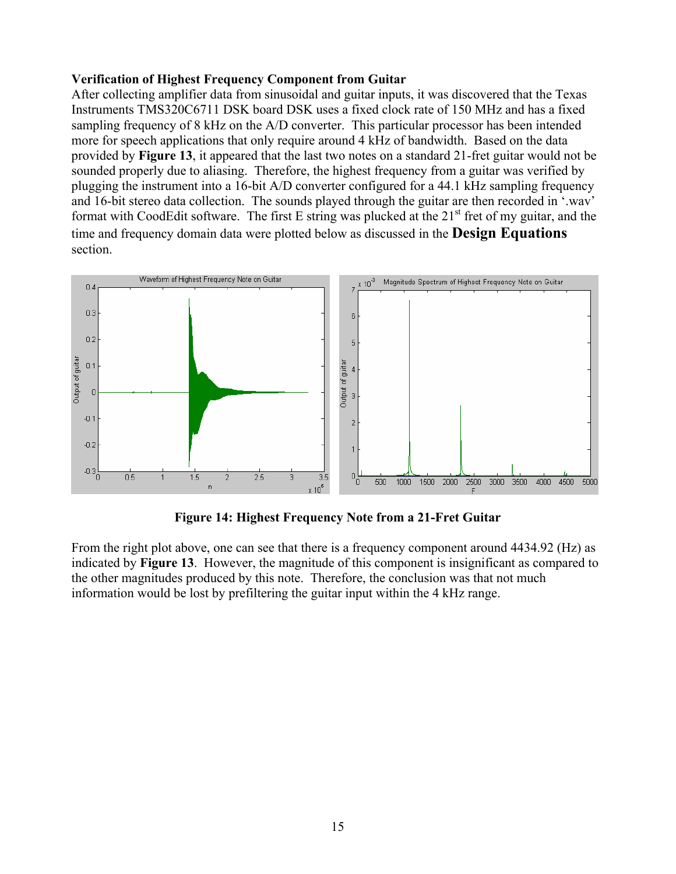# **Verification of Highest Frequency Component from Guitar**

After collecting amplifier data from sinusoidal and guitar inputs, it was discovered that the Texas Instruments TMS320C6711 DSK board DSK uses a fixed clock rate of 150 MHz and has a fixed sampling frequency of 8 kHz on the A/D converter. This particular processor has been intended more for speech applications that only require around 4 kHz of bandwidth. Based on the data provided by **Figure 13**, it appeared that the last two notes on a standard 21-fret guitar would not be sounded properly due to aliasing. Therefore, the highest frequency from a guitar was verified by plugging the instrument into a 16-bit A/D converter configured for a 44.1 kHz sampling frequency and 16-bit stereo data collection. The sounds played through the guitar are then recorded in '.wav' format with CoodEdit software. The first E string was plucked at the  $21<sup>st</sup>$  fret of my guitar, and the time and frequency domain data were plotted below as discussed in the **Design Equations** section.



**Figure 14: Highest Frequency Note from a 21-Fret Guitar**

From the right plot above, one can see that there is a frequency component around 4434.92 (Hz) as indicated by **Figure 13**. However, the magnitude of this component is insignificant as compared to the other magnitudes produced by this note. Therefore, the conclusion was that not much information would be lost by prefiltering the guitar input within the 4 kHz range.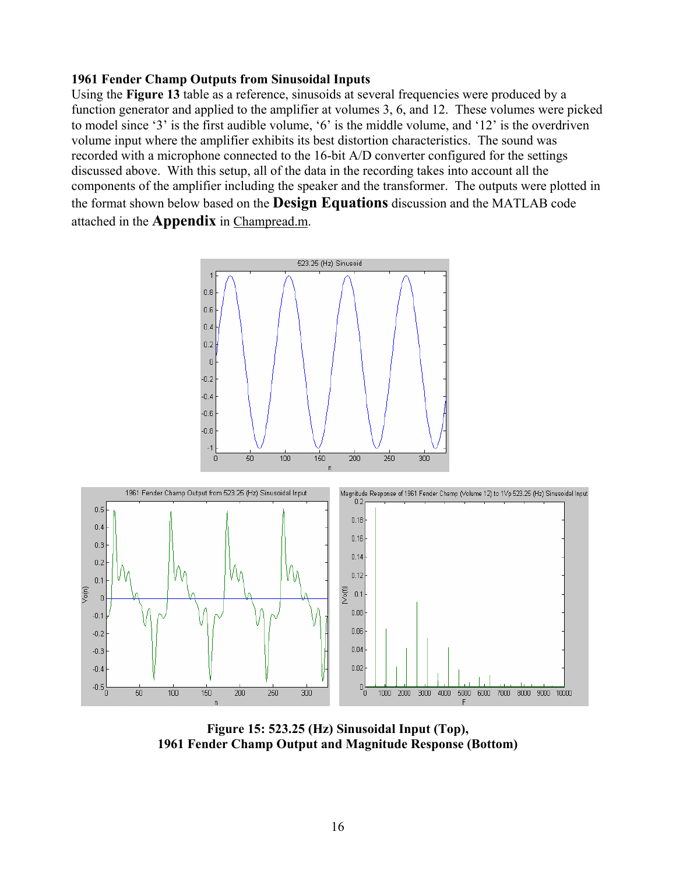# **1961 Fender Champ Outputs from Sinusoidal Inputs**

Using the **Figure 13** table as a reference, sinusoids at several frequencies were produced by a function generator and applied to the amplifier at volumes 3, 6, and 12. These volumes were picked to model since '3' is the first audible volume, '6' is the middle volume, and '12' is the overdriven volume input where the amplifier exhibits its best distortion characteristics. The sound was recorded with a microphone connected to the 16-bit A/D converter configured for the settings discussed above. With this setup, all of the data in the recording takes into account all the components of the amplifier including the speaker and the transformer. The outputs were plotted in the format shown below based on the **Design Equations** discussion and the MATLAB code attached in the **Appendix** in Champread.m.



**Figure 15: 523.25 (Hz) Sinusoidal Input (Top), 1961 Fender Champ Output and Magnitude Response (Bottom)**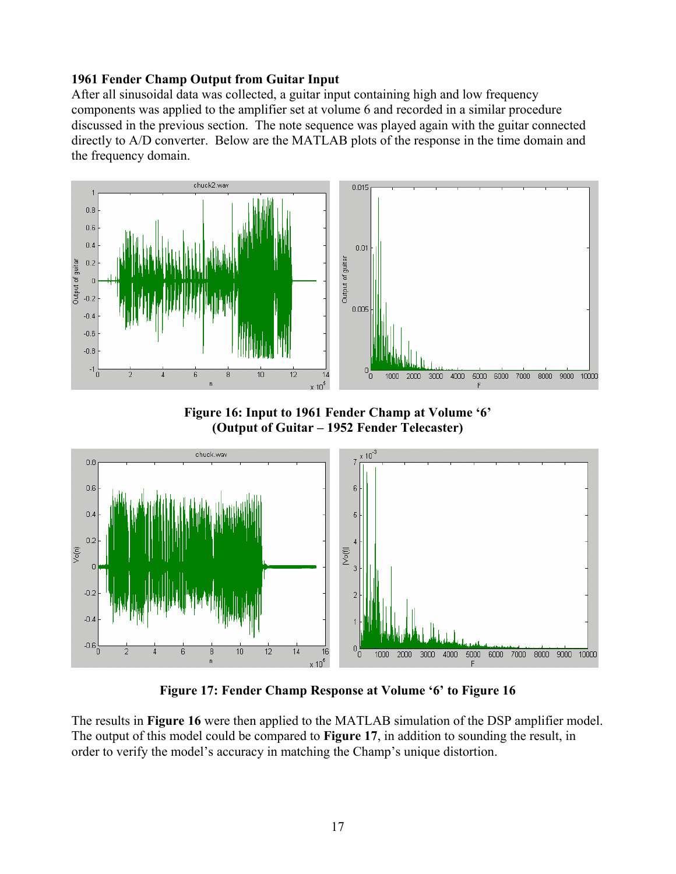# **1961 Fender Champ Output from Guitar Input**

After all sinusoidal data was collected, a guitar input containing high and low frequency components was applied to the amplifier set at volume 6 and recorded in a similar procedure discussed in the previous section. The note sequence was played again with the guitar connected directly to A/D converter. Below are the MATLAB plots of the response in the time domain and the frequency domain.



**Figure 16: Input to 1961 Fender Champ at Volume '6' (Output of Guitar – 1952 Fender Telecaster)** 



**Figure 17: Fender Champ Response at Volume '6' to Figure 16** 

The results in **Figure 16** were then applied to the MATLAB simulation of the DSP amplifier model. The output of this model could be compared to **Figure 17**, in addition to sounding the result, in order to verify the model's accuracy in matching the Champ's unique distortion.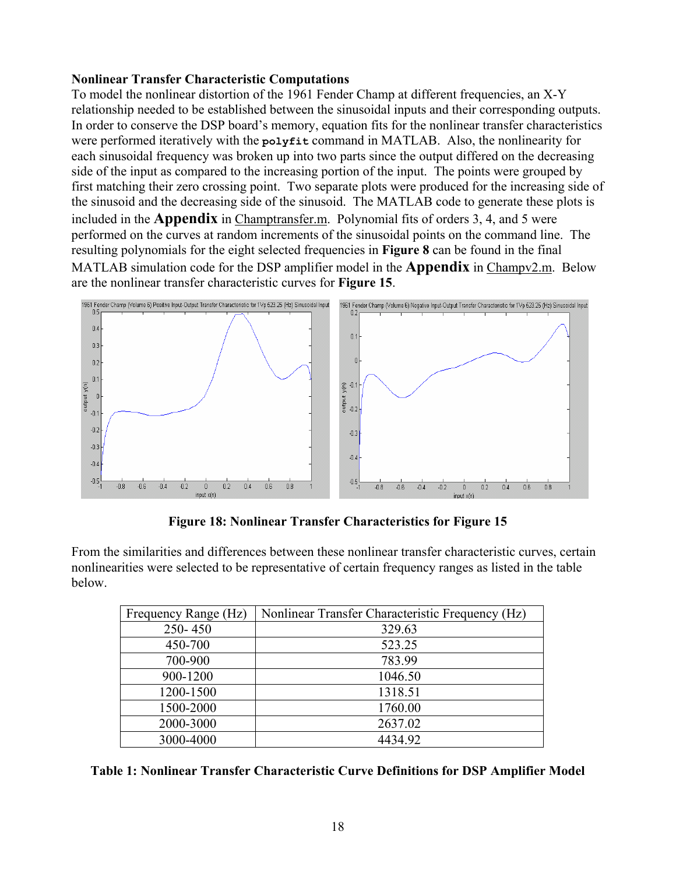# **Nonlinear Transfer Characteristic Computations**

To model the nonlinear distortion of the 1961 Fender Champ at different frequencies, an X-Y relationship needed to be established between the sinusoidal inputs and their corresponding outputs. In order to conserve the DSP board's memory, equation fits for the nonlinear transfer characteristics were performed iteratively with the **polyfit** command in MATLAB. Also, the nonlinearity for each sinusoidal frequency was broken up into two parts since the output differed on the decreasing side of the input as compared to the increasing portion of the input. The points were grouped by first matching their zero crossing point. Two separate plots were produced for the increasing side of the sinusoid and the decreasing side of the sinusoid. The MATLAB code to generate these plots is included in the **Appendix** in Champtransfer.m. Polynomial fits of orders 3, 4, and 5 were performed on the curves at random increments of the sinusoidal points on the command line. The resulting polynomials for the eight selected frequencies in **Figure 8** can be found in the final MATLAB simulation code for the DSP amplifier model in the **Appendix** in Champv2.m. Below are the nonlinear transfer characteristic curves for **Figure 15**.



**Figure 18: Nonlinear Transfer Characteristics for Figure 15** 

From the similarities and differences between these nonlinear transfer characteristic curves, certain nonlinearities were selected to be representative of certain frequency ranges as listed in the table below.

| Frequency Range (Hz) | Nonlinear Transfer Characteristic Frequency (Hz) |
|----------------------|--------------------------------------------------|
| 250-450              | 329.63                                           |
| 450-700              | 523.25                                           |
| 700-900              | 783.99                                           |
| 900-1200             | 1046.50                                          |
| 1200-1500            | 1318.51                                          |
| 1500-2000            | 1760.00                                          |
| 2000-3000            | 2637.02                                          |
| 3000-4000            | 4434.92                                          |

**Table 1: Nonlinear Transfer Characteristic Curve Definitions for DSP Amplifier Model**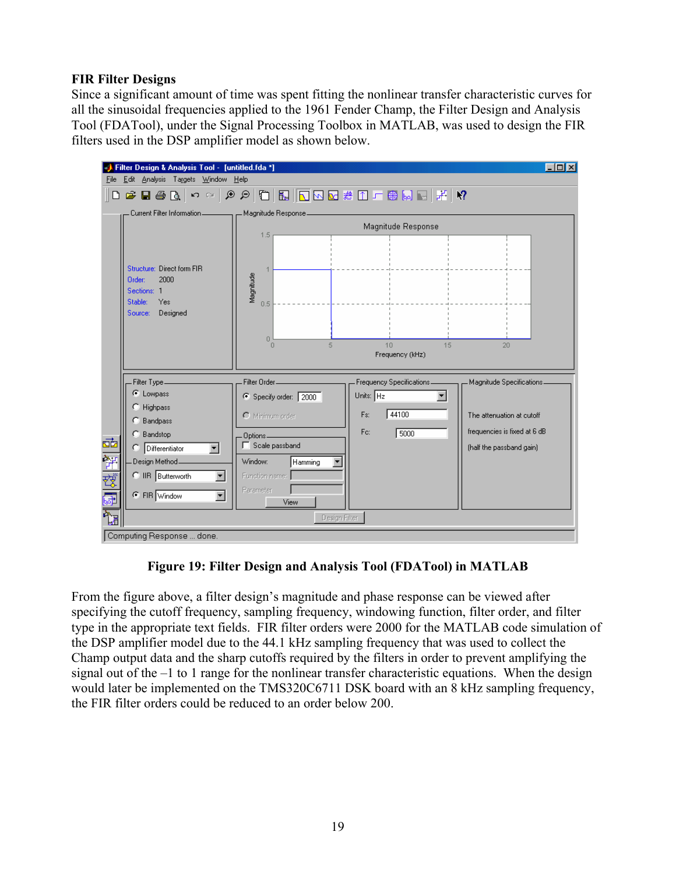# **FIR Filter Designs**

Since a significant amount of time was spent fitting the nonlinear transfer characteristic curves for all the sinusoidal frequencies applied to the 1961 Fender Champ, the Filter Design and Analysis Tool (FDATool), under the Signal Processing Toolbox in MATLAB, was used to design the FIR filters used in the DSP amplifier model as shown below.

|          | Filter Design & Analysis Tool - [untitled.fda *]         |                                                 |                           | $ \Box$ $\times$             |
|----------|----------------------------------------------------------|-------------------------------------------------|---------------------------|------------------------------|
| File     | Edit Analysis Targets Window Help                        |                                                 |                           |                              |
|          |                                                          | ▌▙▏▏▛▐▌ <del>▓</del> ▐▊▐▊▏▊▎▏░▏▏▏▏▏▏▏▏▏▏▏▏▏▏▏▏▏ |                           | $\sqrt{2}$                   |
|          | Eurrent Filter Information _________ Hagnitude Response_ |                                                 |                           |                              |
|          |                                                          |                                                 | Magnitude Response        |                              |
|          |                                                          | 1.5                                             |                           |                              |
|          |                                                          |                                                 |                           |                              |
|          | Structure: Direct form FIR<br>2000<br>Order:             |                                                 |                           |                              |
|          | Sections: 1                                              | Magnitude                                       |                           |                              |
|          | Stable:<br>Yes                                           | 0.5                                             |                           |                              |
|          | Designed<br>Source:                                      |                                                 |                           |                              |
|          |                                                          | 0                                               |                           |                              |
|          |                                                          | $\Box$<br>5                                     | 10 <sup>10</sup><br>15    | 20                           |
|          |                                                          |                                                 | Frequency (kHz)           |                              |
|          | Filter Type                                              | Filter Order <sub>__________</sub>              | Frequency Specifications. | Magnitude Specifications.    |
|          | C Lowpass                                                | Specify order: 2000                             | Units: $Hz$               |                              |
|          | C Highpass                                               | O Minimum order                                 | 44100<br>Fs:              | The attenuation at cutoff    |
|          | C Bandpass                                               |                                                 |                           |                              |
| ø        | C Bandstop                                               | Options<br>Scale passband                       | Fc:<br>5000               | frequencies is fixed at 6 dB |
|          | C Differentiator<br>▾                                    |                                                 |                           | (half the passband gain)     |
|          | Design Method_                                           | Window:<br>Hamming                              |                           |                              |
| 智磁团      | C IIR Butterworth<br>$\overline{\phantom{0}}$            | Function name:                                  |                           |                              |
|          | C FIR Window<br>$\overline{\phantom{0}}$                 | Parameter<br>View                               |                           |                              |
| ੈਸ਼<br>ਔ |                                                          | Design Filter                                   |                           |                              |
|          |                                                          |                                                 |                           |                              |
|          | Computing Response  done.                                |                                                 |                           |                              |

# **Figure 19: Filter Design and Analysis Tool (FDATool) in MATLAB**

From the figure above, a filter design's magnitude and phase response can be viewed after specifying the cutoff frequency, sampling frequency, windowing function, filter order, and filter type in the appropriate text fields. FIR filter orders were 2000 for the MATLAB code simulation of the DSP amplifier model due to the 44.1 kHz sampling frequency that was used to collect the Champ output data and the sharp cutoffs required by the filters in order to prevent amplifying the signal out of the –1 to 1 range for the nonlinear transfer characteristic equations. When the design would later be implemented on the TMS320C6711 DSK board with an 8 kHz sampling frequency, the FIR filter orders could be reduced to an order below 200.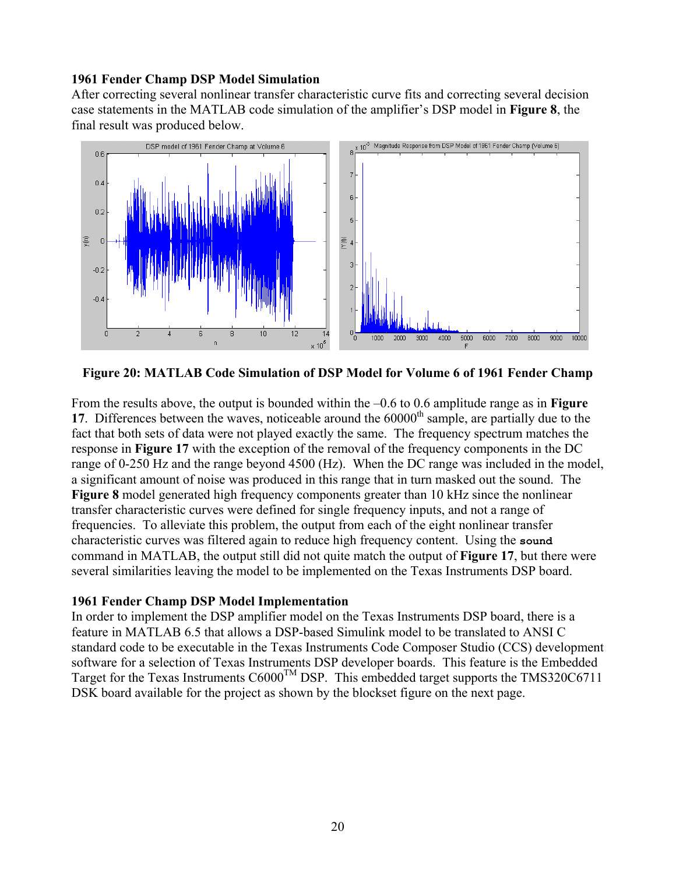# **1961 Fender Champ DSP Model Simulation**

After correcting several nonlinear transfer characteristic curve fits and correcting several decision case statements in the MATLAB code simulation of the amplifier's DSP model in **Figure 8**, the final result was produced below.



**Figure 20: MATLAB Code Simulation of DSP Model for Volume 6 of 1961 Fender Champ** 

From the results above, the output is bounded within the –0.6 to 0.6 amplitude range as in **Figure 17**. Differences between the waves, noticeable around the 60000<sup>th</sup> sample, are partially due to the fact that both sets of data were not played exactly the same. The frequency spectrum matches the response in **Figure 17** with the exception of the removal of the frequency components in the DC range of 0-250 Hz and the range beyond 4500 (Hz). When the DC range was included in the model, a significant amount of noise was produced in this range that in turn masked out the sound. The **Figure 8** model generated high frequency components greater than 10 kHz since the nonlinear transfer characteristic curves were defined for single frequency inputs, and not a range of frequencies. To alleviate this problem, the output from each of the eight nonlinear transfer characteristic curves was filtered again to reduce high frequency content. Using the **sound** command in MATLAB, the output still did not quite match the output of **Figure 17**, but there were several similarities leaving the model to be implemented on the Texas Instruments DSP board.

# **1961 Fender Champ DSP Model Implementation**

In order to implement the DSP amplifier model on the Texas Instruments DSP board, there is a feature in MATLAB 6.5 that allows a DSP-based Simulink model to be translated to ANSI C standard code to be executable in the Texas Instruments Code Composer Studio (CCS) development software for a selection of Texas Instruments DSP developer boards. This feature is the Embedded Target for the Texas Instruments  $C6000^{TM}$  DSP. This embedded target supports the TMS320C6711 DSK board available for the project as shown by the blockset figure on the next page.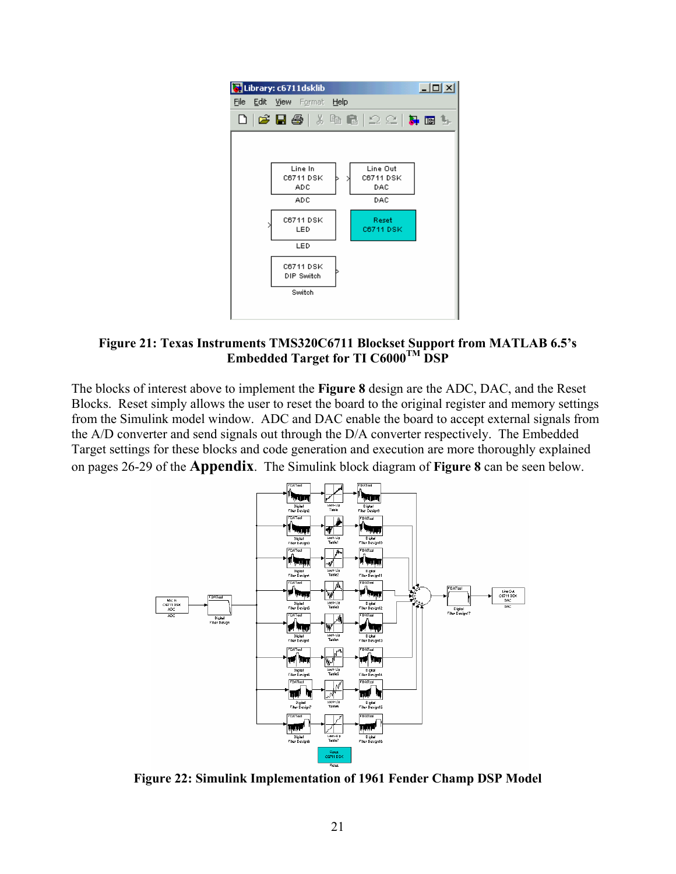

**Figure 21: Texas Instruments TMS320C6711 Blockset Support from MATLAB 6.5's Embedded Target for TI C6000TM DSP**

The blocks of interest above to implement the **Figure 8** design are the ADC, DAC, and the Reset Blocks. Reset simply allows the user to reset the board to the original register and memory settings from the Simulink model window. ADC and DAC enable the board to accept external signals from the A/D converter and send signals out through the D/A converter respectively. The Embedded Target settings for these blocks and code generation and execution are more thoroughly explained on pages 26-29 of the **Appendix**. The Simulink block diagram of **Figure 8** can be seen below.



**Figure 22: Simulink Implementation of 1961 Fender Champ DSP Model**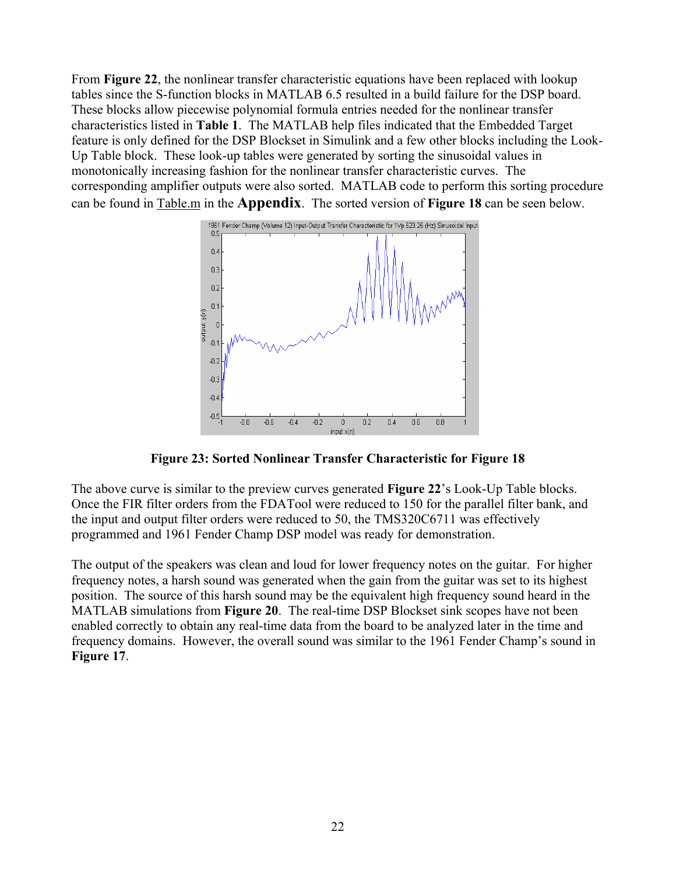From **Figure 22**, the nonlinear transfer characteristic equations have been replaced with lookup tables since the S-function blocks in MATLAB 6.5 resulted in a build failure for the DSP board. These blocks allow piecewise polynomial formula entries needed for the nonlinear transfer characteristics listed in **Table 1**. The MATLAB help files indicated that the Embedded Target feature is only defined for the DSP Blockset in Simulink and a few other blocks including the Look-Up Table block. These look-up tables were generated by sorting the sinusoidal values in monotonically increasing fashion for the nonlinear transfer characteristic curves. The corresponding amplifier outputs were also sorted. MATLAB code to perform this sorting procedure can be found in Table.m in the **Appendix**. The sorted version of **Figure 18** can be seen below.



**Figure 23: Sorted Nonlinear Transfer Characteristic for Figure 18** 

The above curve is similar to the preview curves generated **Figure 22**'s Look-Up Table blocks. Once the FIR filter orders from the FDATool were reduced to 150 for the parallel filter bank, and the input and output filter orders were reduced to 50, the TMS320C6711 was effectively programmed and 1961 Fender Champ DSP model was ready for demonstration.

The output of the speakers was clean and loud for lower frequency notes on the guitar. For higher frequency notes, a harsh sound was generated when the gain from the guitar was set to its highest position. The source of this harsh sound may be the equivalent high frequency sound heard in the MATLAB simulations from **Figure 20**. The real-time DSP Blockset sink scopes have not been enabled correctly to obtain any real-time data from the board to be analyzed later in the time and frequency domains. However, the overall sound was similar to the 1961 Fender Champ's sound in **Figure 17**.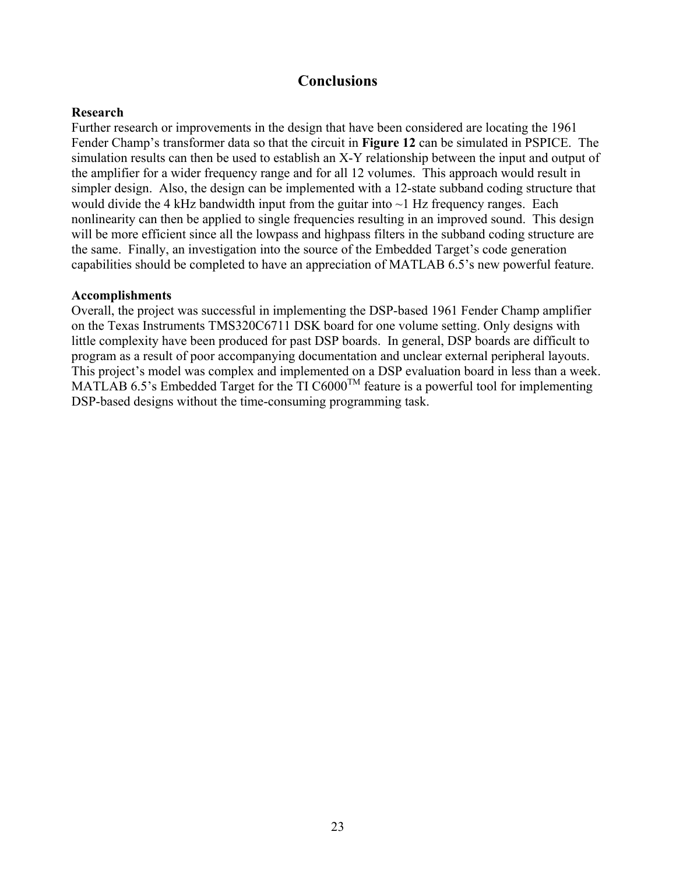# **Conclusions**

# **Research**

Further research or improvements in the design that have been considered are locating the 1961 Fender Champ's transformer data so that the circuit in **Figure 12** can be simulated in PSPICE. The simulation results can then be used to establish an X-Y relationship between the input and output of the amplifier for a wider frequency range and for all 12 volumes. This approach would result in simpler design. Also, the design can be implemented with a 12-state subband coding structure that would divide the 4 kHz bandwidth input from the guitar into  $\sim$ 1 Hz frequency ranges. Each nonlinearity can then be applied to single frequencies resulting in an improved sound. This design will be more efficient since all the lowpass and highpass filters in the subband coding structure are the same. Finally, an investigation into the source of the Embedded Target's code generation capabilities should be completed to have an appreciation of MATLAB 6.5's new powerful feature.

# **Accomplishments**

Overall, the project was successful in implementing the DSP-based 1961 Fender Champ amplifier on the Texas Instruments TMS320C6711 DSK board for one volume setting. Only designs with little complexity have been produced for past DSP boards. In general, DSP boards are difficult to program as a result of poor accompanying documentation and unclear external peripheral layouts. This project's model was complex and implemented on a DSP evaluation board in less than a week. MATLAB 6.5's Embedded Target for the TI  $C6000^{TM}$  feature is a powerful tool for implementing DSP-based designs without the time-consuming programming task.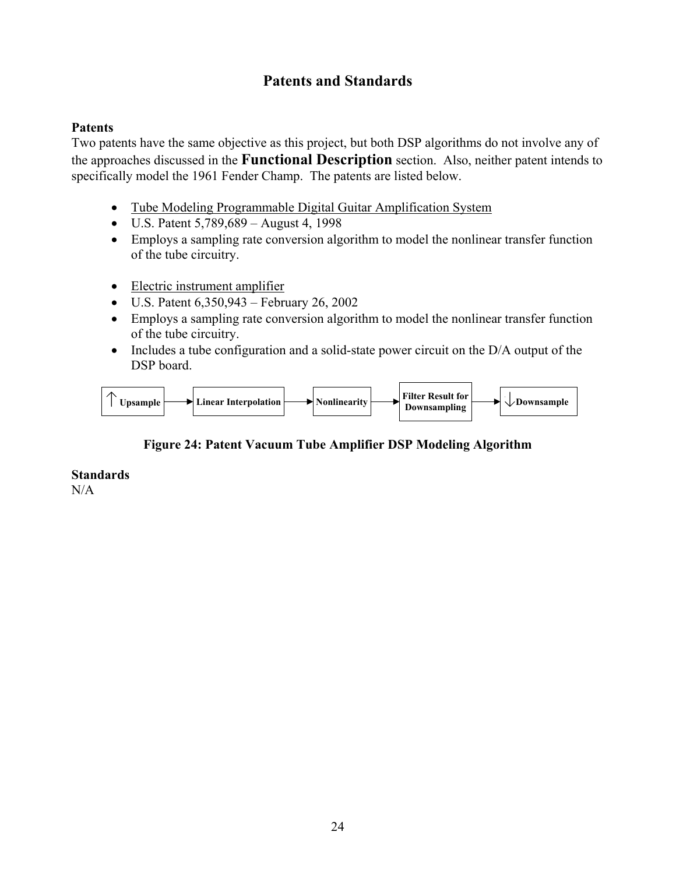# **Patents and Standards**

# **Patents**

Two patents have the same objective as this project, but both DSP algorithms do not involve any of the approaches discussed in the **Functional Description** section. Also, neither patent intends to specifically model the 1961 Fender Champ. The patents are listed below.

- Tube Modeling Programmable Digital Guitar Amplification System
- U.S. Patent 5,789,689 August 4, 1998
- Employs a sampling rate conversion algorithm to model the nonlinear transfer function of the tube circuitry.
- Electric instrument amplifier
- U.S. Patent 6,350,943 February 26, 2002
- Employs a sampling rate conversion algorithm to model the nonlinear transfer function of the tube circuitry.
- Includes a tube configuration and a solid-state power circuit on the D/A output of the DSP board.



# **Figure 24: Patent Vacuum Tube Amplifier DSP Modeling Algorithm**

# **Standards**

 $N/A$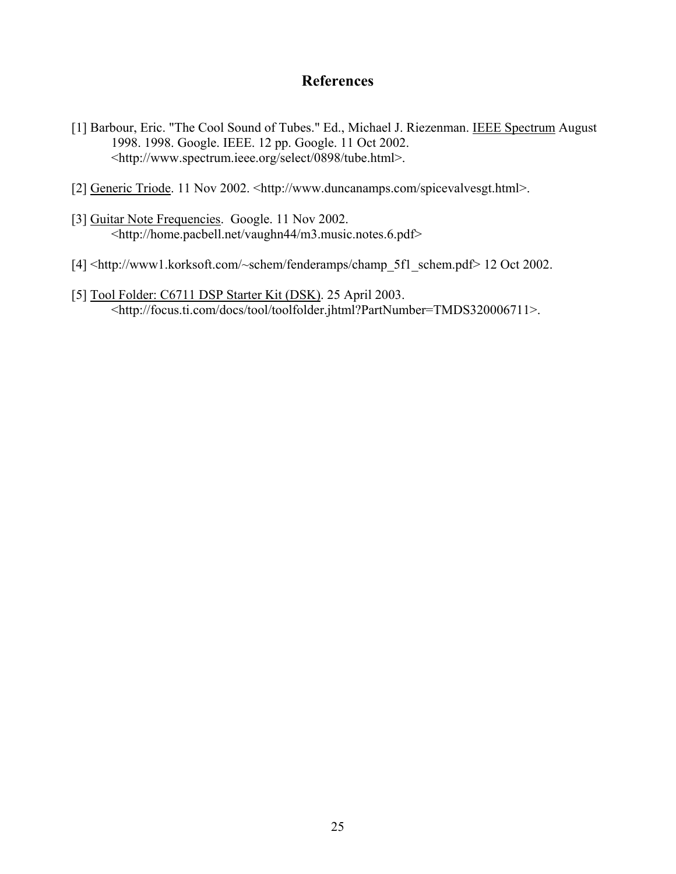# **References**

- [1] Barbour, Eric. "The Cool Sound of Tubes." Ed., Michael J. Riezenman. IEEE Spectrum August 1998. 1998. Google. IEEE. 12 pp. Google. 11 Oct 2002. <http://www.spectrum.ieee.org/select/0898/tube.html>.
- [2] Generic Triode. 11 Nov 2002. <http://www.duncanamps.com/spicevalvesgt.html>.
- [3] Guitar Note Frequencies. Google. 11 Nov 2002. <http://home.pacbell.net/vaughn44/m3.music.notes.6.pdf>
- [4] <http://www1.korksoft.com/~schem/fenderamps/champ\_5f1\_schem.pdf> 12 Oct 2002.
- [5] Tool Folder: C6711 DSP Starter Kit (DSK). 25 April 2003. <http://focus.ti.com/docs/tool/toolfolder.jhtml?PartNumber=TMDS320006711>.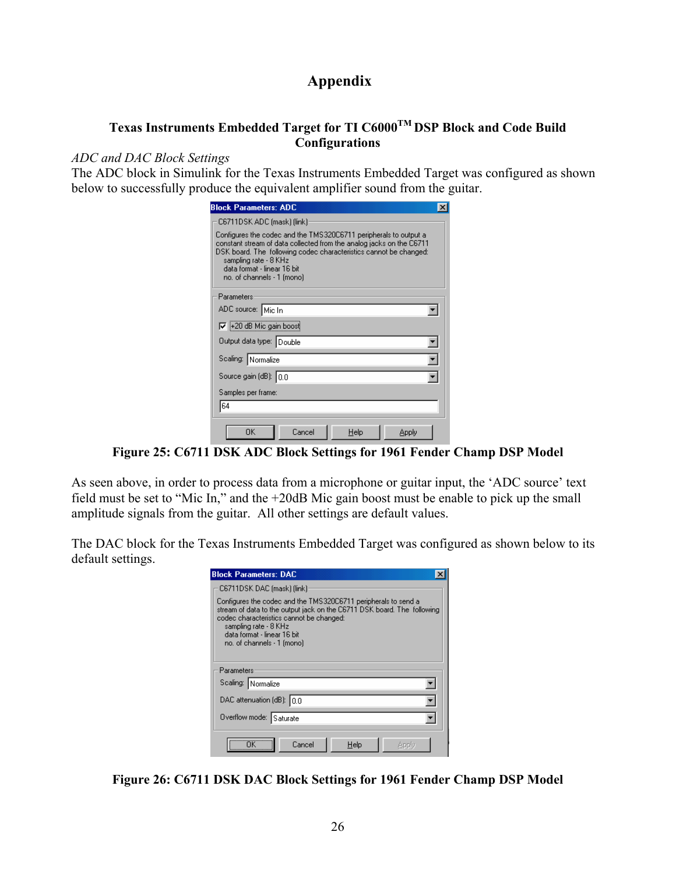# **Appendix**

# **Texas Instruments Embedded Target for TI C6000TM DSP Block and Code Build Configurations**

# *ADC and DAC Block Settings*

The ADC block in Simulink for the Texas Instruments Embedded Target was configured as shown below to successfully produce the equivalent amplifier sound from the guitar.

| <b>Block Parameters: ADC</b>                                                                                                                                                                                                                                                                        |
|-----------------------------------------------------------------------------------------------------------------------------------------------------------------------------------------------------------------------------------------------------------------------------------------------------|
| C6711DSK ADC (mask) (link)                                                                                                                                                                                                                                                                          |
| Configures the codec and the TMS320C6711 peripherals to output a<br>constant stream of data collected from the analog jacks on the C6711<br>DSK board. The following codec characteristics cannot be changed:<br>sampling rate - 8 KHz<br>data format - linear 16 bit<br>no. of channels - 1 (mono) |
| Parameters                                                                                                                                                                                                                                                                                          |
| ADC source: Mic In                                                                                                                                                                                                                                                                                  |
| V +20 dB Mic gain boost                                                                                                                                                                                                                                                                             |
| Output data type: Double                                                                                                                                                                                                                                                                            |
| Scaling: Normalize                                                                                                                                                                                                                                                                                  |
| Source gain (dB): 0.0                                                                                                                                                                                                                                                                               |
| Samples per frame:                                                                                                                                                                                                                                                                                  |
| 64                                                                                                                                                                                                                                                                                                  |
| 0K<br>Cancel<br>Help<br>Apply                                                                                                                                                                                                                                                                       |

**Figure 25: C6711 DSK ADC Block Settings for 1961 Fender Champ DSP Model** 

As seen above, in order to process data from a microphone or guitar input, the 'ADC source' text field must be set to "Mic In," and the +20dB Mic gain boost must be enable to pick up the small amplitude signals from the guitar. All other settings are default values.

The DAC block for the Texas Instruments Embedded Target was configured as shown below to its default settings.

| <b>Block Parameters: DAC</b>                                                                                                                                                                                                                                                |
|-----------------------------------------------------------------------------------------------------------------------------------------------------------------------------------------------------------------------------------------------------------------------------|
| C6711DSK DAC (mask) (link)                                                                                                                                                                                                                                                  |
| Configures the codec and the TMS320C6711 peripherals to send a<br>stream of data to the output jack on the C6711 DSK board. The following<br>codec characteristics cannot be changed:<br>sampling rate - 8 KHz<br>data format - linear 16 bit<br>no. of channels - 1 [mono] |
| Parameters                                                                                                                                                                                                                                                                  |
| Scaling: Normalize                                                                                                                                                                                                                                                          |
| DAC attenuation (dB): $ 0.0$                                                                                                                                                                                                                                                |
| Overflow mode: Saturate                                                                                                                                                                                                                                                     |
| Cancel<br>Help                                                                                                                                                                                                                                                              |

**Figure 26: C6711 DSK DAC Block Settings for 1961 Fender Champ DSP Model**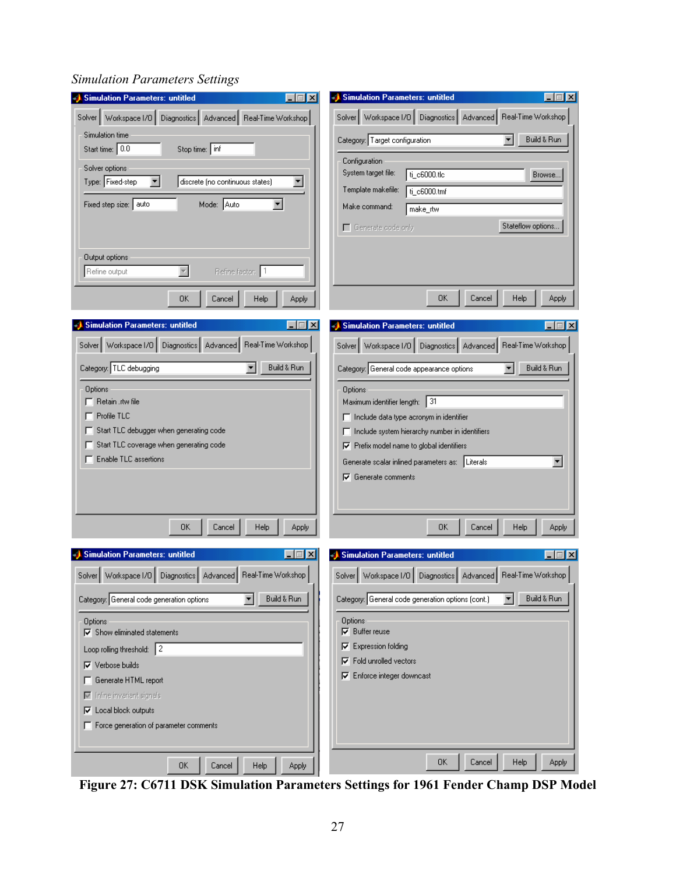#### Simulation Parameters: untitled  $\Box \Box X$ Simulation Parameters: untitled  $\Box$ o $\mathbf{X}$ Solver | Workspace I/O | Diagnostics | Advanced | Real-Time Workshop | Solver Workspace 1/0 | Diagnostics | Advanced | Real-Time Workshop Simulation time Build & Run Category: Target configuration Start time: 0.0 Stop time: inf Configuration Solver options System target file: ti\_c6000.tlc Browse... Type: Fixed-step  $\blacktriangledown$ discrete (no continuous states) 회 Template makefile: ti\_c6000.tmf Fixed step size: auto Mode: Auto 회 Make command: make\_rtw Stateflow options... Generate code only Output options Refine output  $\overline{\nabla}$ Refine factor: 1 OK. Cancel Help Apply 0K Cancel Help **Apply** Simulation Parameters: untitled  $\Box$ o $\boxtimes$ Simulation Parameters: untitled  $\Box$ o $\Box$ Solver | Workspace I/O | Diagnostics | Advanced | Real-Time Workshop | Solver | Workspace I/O | Diagnostics | Advanced | Real-Time Workshop |  $\boxed{\bullet}$  Build & Run  $\boxed{\bullet}$  Build & Run Category: TLC debugging Category: General code appearance options Options Options  $\Box$  Retain .rtw file Maximum identifier length: 31  $\Box$  Profile TLC Include data type acronym in identifier  $\Box$  Start TLC debugger when generating code □ Include system hierarchy number in identifiers Start TLC coverage when generating code  $\nabla$  Prefix model name to global identifiers F Enable TLC assertions Generate scalar inlined parameters as: Literals  $\blacktriangledown$  $\nabla$  Generate comments  $\mathsf{OK}$ Cancel Help Apply 0K Cancel Help Apply Simulation Parameters: untitled  $\Box$ o $\Box$ Simulation Parameters: untitled  $\Box$ Solver | Workspace I/O | Diagnostics | Advanced | Real-Time Workshop | Solver | Workspace I/O | Diagnostics | Advanced | Real-Time Workshop | Category: General code generation options  $\blacktriangledown$ Build & Run Category: General code generation options (cont.)  $\blacktriangledown$ Build & Run Options Options  $\nabla$  Buffer reuse  $\nabla$  Show eliminated statements  $\nabla$  Expression folding Loop rolling threshold: 2  $\nabla$  Fold unrolled vectors  $\nabla$  Verbose builds **▽** Enforce integer downcast Generate HTML report  $\overline{\mathbf{w}}$  Inline invariant signals **▽** Local block outputs F Force generation of parameter comments 0K Help Cancel Apply 0K Cancel Help Apply

# *Simulation Parameters Settings*

**Figure 27: C6711 DSK Simulation Parameters Settings for 1961 Fender Champ DSP Model**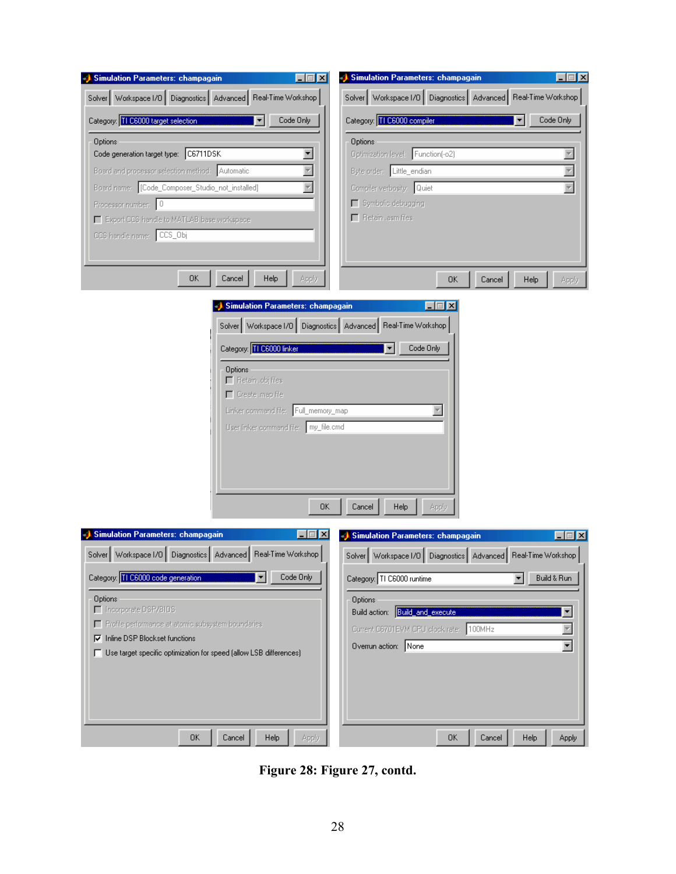| Simulation Parameters: champagain                                                                              | Simulation Parameters: champagain<br>$\Box$ $\Box$ $\times$<br>$\Box$ $\Box$ $\times$ |
|----------------------------------------------------------------------------------------------------------------|---------------------------------------------------------------------------------------|
| Solver   Workspace I/O   Diagnostics   Advanced   Real-Time Workshop                                           | Solver   Workspace I/O   Diagnostics   Advanced   Real-Time Workshop                  |
| Category: 11 C6000 target selection<br>Code Only<br>$\blacktriangledown$                                       | Category: TTC6000 compiler<br>$\blacktriangledown$<br>Code Only                       |
| Options                                                                                                        | Options                                                                               |
| Code generation target type: C6711DSK<br>Board and processor selection method: Automatic                       | Optimization level: Function(-o2)<br>Byte order: Little_endian                        |
| Board name: [Code_Composer_Studio_not_installed]                                                               | Compiler verbosity: Quiet                                                             |
| Processor number: 0                                                                                            | Symbolic debugging<br>Fletain Lasm files                                              |
| Export CCS handle to MATLAB base workspace<br>CCS handle name: CCS_Obj                                         |                                                                                       |
|                                                                                                                |                                                                                       |
| 0K<br>Cancel<br>Help                                                                                           | Apply<br>OΚ<br>Cancel<br>Help<br>Apply                                                |
| <b>Simulation Parameters: champagain</b>                                                                       | – I⊡I ×                                                                               |
|                                                                                                                | Solver   Workspace I/O   Diagnostics   Advanced   Real-Time Workshop                  |
| Category: TE6000 linker                                                                                        | Code Only                                                                             |
| <b>Options</b><br>Fletain .obj files                                                                           |                                                                                       |
| Create .map file                                                                                               |                                                                                       |
| Linker command file: Full_memory_map<br>User linker command file:   my_file.cmd                                |                                                                                       |
|                                                                                                                |                                                                                       |
|                                                                                                                |                                                                                       |
|                                                                                                                |                                                                                       |
|                                                                                                                | Cancel<br>Help<br>0K<br>Apply                                                         |
| Simulation Parameters: champagain                                                                              | – ∣⊡  ×<br>Simulation Parameters: champagain<br>$\Box$ $\Box$ $\times$                |
| Solver   Workspace I/O   Diagnostics   Advanced   Real-Time Workshop                                           | Solver   Workspace I/O   Diagnostics   Advanced   Real-Time Workshop                  |
| Category: THE 6000 code generation<br>Code Only                                                                | Category: TI C6000 runtime<br>Build & Run                                             |
| Options<br>□ Incorporate DSP/BIOS                                                                              | <b>Options</b><br>Build action: <b>Build and execute</b>                              |
| Profile performance at atomic subsystem boundaries                                                             | Current C6701EVM CPU clock rate: 100MHz                                               |
| $\nabla$ Inline DSP Blockset functions<br>□ Use target specific optimization for speed (allow LSB differences) | $\overline{\phantom{0}}$<br>Overrun action: None                                      |
|                                                                                                                |                                                                                       |
|                                                                                                                |                                                                                       |
|                                                                                                                |                                                                                       |
| 0K<br>Cancel<br>Help                                                                                           | Apply<br>0K<br>Cancel<br>Help<br>Apply                                                |

**Figure 28: Figure 27, contd.**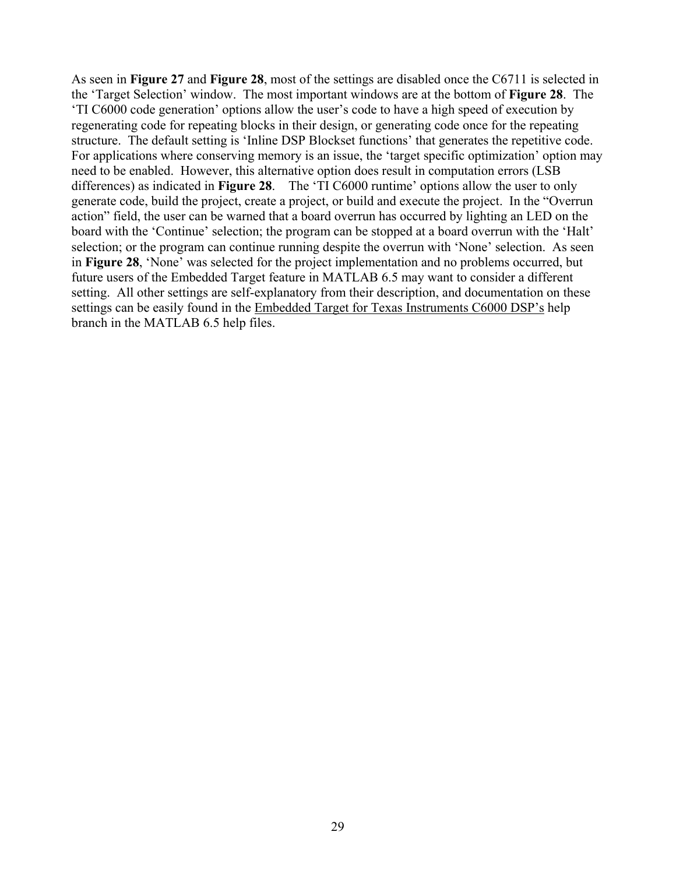As seen in **Figure 27** and **Figure 28**, most of the settings are disabled once the C6711 is selected in the 'Target Selection' window. The most important windows are at the bottom of **Figure 28**. The 'TI C6000 code generation' options allow the user's code to have a high speed of execution by regenerating code for repeating blocks in their design, or generating code once for the repeating structure. The default setting is 'Inline DSP Blockset functions' that generates the repetitive code. For applications where conserving memory is an issue, the 'target specific optimization' option may need to be enabled. However, this alternative option does result in computation errors (LSB differences) as indicated in **Figure 28**. The 'TI C6000 runtime' options allow the user to only generate code, build the project, create a project, or build and execute the project. In the "Overrun action" field, the user can be warned that a board overrun has occurred by lighting an LED on the board with the 'Continue' selection; the program can be stopped at a board overrun with the 'Halt' selection; or the program can continue running despite the overrun with 'None' selection. As seen in **Figure 28**, 'None' was selected for the project implementation and no problems occurred, but future users of the Embedded Target feature in MATLAB 6.5 may want to consider a different setting. All other settings are self-explanatory from their description, and documentation on these settings can be easily found in the Embedded Target for Texas Instruments C6000 DSP's help branch in the MATLAB 6.5 help files.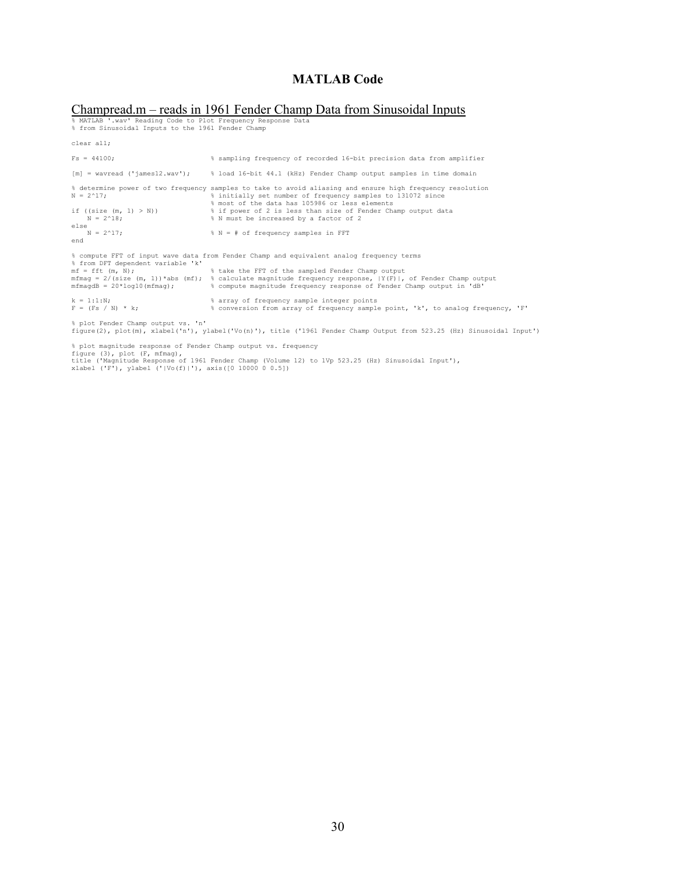### **MATLAB Code**

# Champread.m — reads in 1961 Fender Champ Data from Sinusoidal Inputs<br>% MATLAB '.wav' Reading Code to Plot Frequency Response Data<br>% from Sinusoidal Inputs to the 1961 Fender Champ

| clear all;                                        |                                                                                                                                                                                                                                                                           |
|---------------------------------------------------|---------------------------------------------------------------------------------------------------------------------------------------------------------------------------------------------------------------------------------------------------------------------------|
| $Fs = 44100:$                                     | % sampling frequency of recorded 16-bit precision data from amplifier                                                                                                                                                                                                     |
|                                                   | $[m]$ = wavread ('james12.wav'); $\frac{1}{2}$ load 16-bit 44.1 (kHz) Fender Champ output samples in time domain                                                                                                                                                          |
| $N = 2^17$ ;                                      | % determine power of two frequency samples to take to avoid aliasing and ensure high frequency resolution<br>% initially set number of frequency samples to 131072 since<br>% most of the data has 105986 or less elements                                                |
| if ((size $(m, 1) > N$ ))<br>$N = 2^18$ ;<br>else | % if power of 2 is less than size of Fender Champ output data<br>% N must be increased by a factor of 2                                                                                                                                                                   |
| $N = 2^17$ ;<br>end                               | $% N = # of frequency samples in FFT$                                                                                                                                                                                                                                     |
| % from DFT dependent variable 'k'                 | % compute FFT of input wave data from Fender Champ and equivalent analog frequency terms                                                                                                                                                                                  |
| $mf = fft(m, N);$                                 | % take the FFT of the sampled Fender Champ output<br>$m$ fmaq = 2/(size (m, 1))*abs (mf); % calculate magnitude frequency response, $ Y(F) $ , of Fender Champ output<br>mfmaqdB = 20*loq10(mfmaq); 8 compute magnitude frequency response of Fender Champ output in 'dB' |
| $k = 1:1:N$ ;<br>$F = (Fs / N) * k;$              | % array of frequency sample integer points<br>% conversion from array of frequency sample point, 'k', to analog frequency, 'F'                                                                                                                                            |

% plot Fender Champ output vs. 'n' figure(2), plot(m), xlabel('n'), ylabel('Vo(n)'), title ('1961 Fender Champ Output from 523.25 (Hz) Sinusoidal Input')

% plot magnitude response of Fender Champ output vs. frequency<br>figure (3), plot (F, mfmag),<br>title ('Magnitude Response of 1961 Fender Champ (Volume 12) to 1Vp 523.25 (Hz) Sinusoidal Input'),<br>xlabel ('F'), ylabel ('|Vo(f)|'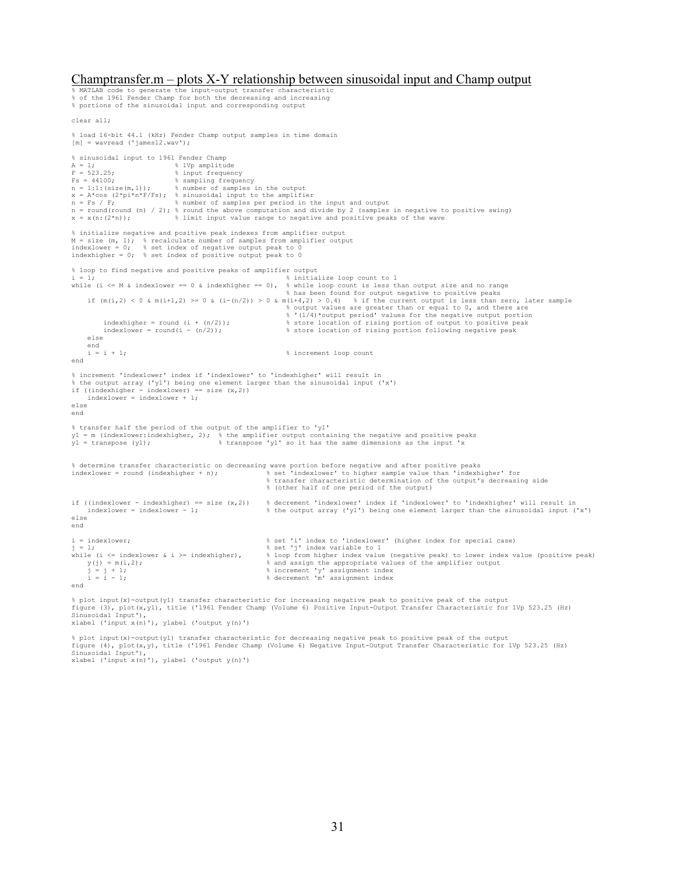#### Champtransfer.m – plots X-Y relationship between sinusoidal input and Champ output

% MATLAB code to generate the input-output transfer characteristic % of the 1961 Fender Champ for both the decreasing and increasing % portions of the sinusoidal input and corresponding output clear all; % load 16-bit 44.1 (kHz) Fender Champ output samples in time domain  $[m]$  = wavread ('james12.wav'); % sinusoidal input to 1961 Fender Champ<br>  $A = 1$ ;<br>  $F = 523.25$ ;<br>
% input frequency A = 1;<br>  $F = 523.25$ ;<br>  $\frac{1}{2}$  & input frequency Fs = 44100; % sampling frequency n = 1:1:(size(m,1)); % number of samples in the output x = A\*cos (2\*pi\*n\*F/Fs); % sinusoidal input to the amplifier n = Fs / F; % number of samples per period in the input and output n = round(round (n) / 2); % round the above computation and divide by 2 (samples in negative to positive swing)  $x = x(n:(2*n))$ ;  $\frac{1}{3}$  limit input value range to negative and positive peaks of the wave % initialize negative and positive peak indexes from amplifier output M = size (m, 1); % recalculate number of samples from amplifier output indexlower = 0; % set index of negative output peak to 0 indexhigher =  $0$ ; % set index of positive output peak to 0 % loop to find negative and positive peaks of amplifier output<br>i = 1;<br> % initialize loop count to 1 i = 1; % initialize loop count to 1 while (i <= M & indexlower == 0 & indexhigher == 0), % while loop count is less than output size and no range % has been found for output negative to positive peaks »<br>if (m(i,2) < 0 & m(i+1,2) >= 0 & (i-(n/2)) > 0 & m(i+4,2) > 0.4) % if the current output is less than zero, later sample % output values are greater than or equal to 0, and there are % '(1/4)\*output period' values for the negative output portion indexhigher = round (i + (n/2)); % store location of rising portion of output to positive peak indexhigher = round (i +  $(n/2)$ );<br>  $\frac{1}{3}$  store location of rising portion following negative peak<br>  $\frac{1}{3}$  store location of rising portion following negative peak else end<br> $i = i + 1;$ % increment loop count end % increment 'indexlower' index if 'indexlower' to 'indexhigher' will result in % the output array ('y1') being one element larger than the sinusoidal input ('x')<br>if ((indexhigher - indexlower) == size (x,2))<br>indexlower = indexlower + 1; else end % transfer half the period of the output of the amplifier to 'y1' y1 = m (indexlower:indexhigher, 2); % the amplifier output containing the negative and positive peaks y1 = transpose (y1); % transpose 'y1' so it has the same dimensions as the input 'x % determine transfer characteristic on decreasing wave portion before negative and after positive peaks indexlower = round (indexhigher + n); % set 'indexlower' to higher sample value than 'indexhigher' for % transfer characteristic determination of the output's decreasing side % (other half of one period of the output) if ((indexlower - indexhigher) == size  $(x, 2)$ ) & decrement 'indexlower' index if 'indexlower' to 'indexhigher' will result in<br>indexlower = indexlower - 1; <br>the output array ('yl') being one element larger than the sinuso else end i = indexlower; % set 'i' index to 'indexlower' (higher index for special case) j = 1; % set 'j' index variable to 1 while (i <= indexlower & i >= indexhigher), <br>  $y(j) = m(i, 2)$ ; <br>  $j = j + 1$ ; <br>  $j = j + 1$ ; <br>  $k = 1 - 1$ ; <br>  $k = i - 1$ ; <br>  $k = i - 1$ ; <br>  $k = 1 - 1$ ; <br>  $k = 1 - 1$ ; <br>  $k = 1 - 1$ ; <br>  $k = 1 - 1$ ; <br>  $k = 1 - 1$ ; <br>
Accrement 'm' assignment index % and assign the appropriate values of the amplifier output j = j + 1; % increment 'y' assignment index i = i - 1; % decrement 'm' assignment index end

% plot input(x)-output(yl) transfer characteristic for increasing negative peak to positive peak of the output<br>figure (3), plot(x,yl), title ('1961 Fender Champ (Volume 6) Positive Input-Output Transfer Characteristic for xlabel ('input x(n)'), ylabel ('output y(n)')

% plot input(x)-output(y1) transfer characteristic for decreasing negative peak to positive peak of the output<br>figure (4), plot(x,y), title ('1961 Fender Champ (Volume 6) Negative Input-Output Transfer Characteristic for 1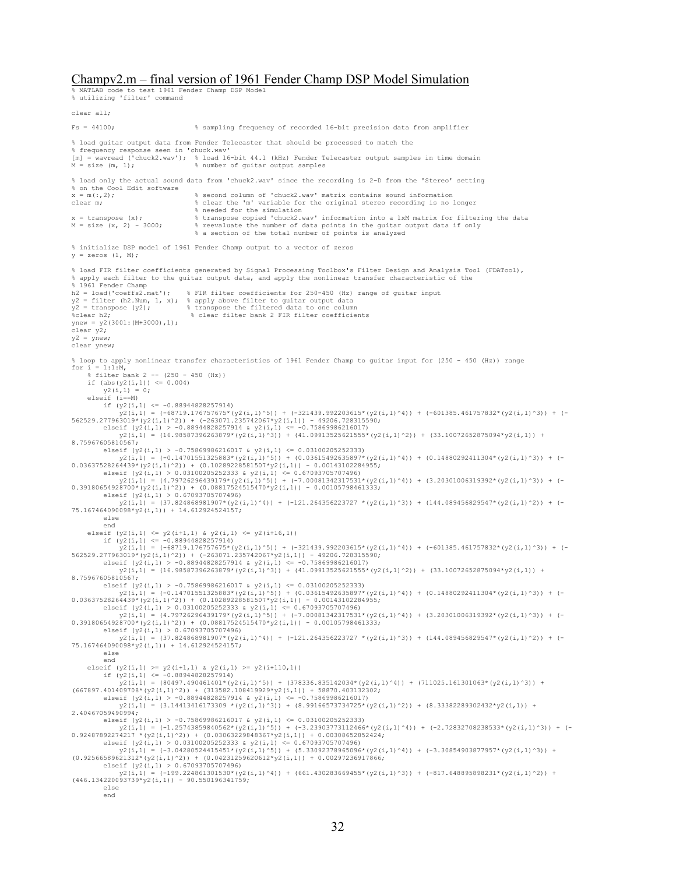#### Champv2.m – final version of 1961 Fender Champ DSP Model Simulation

% MATLAB code to test 1961 Fender Champ DSP Model % utilizing 'filter' command

clear all; Fs = 44100; % sampling frequency of recorded 16-bit precision data from amplifier % load guitar output data from Fender Telecaster that should be processed to match the % frequency response seen in 'chuck.wav' [m] = wavread ('chuck2.wav'); % load 16-bit 44.1 (kHz) Fender Telecaster output samples in time domain  $M = size (m, 1);$  % number of guitar output samples % load only the actual sound data from 'chuck2.wav' since the recording is 2-D from the 'Stereo' setting % on the Cool Edit software  $x = m(:,2);$ % second column of 'chuck2.wav' matrix contains sound information clear m; % clear the 'm' variable for the original stereo recording is no longer % needed for the simulation<br>x = transpose (x);<br>% transpose copied 'chuck2.w  $x =$  transpose (x);  $\frac{1}{2}$  transpose copied 'chuck2.wav' information into a 1xM matrix for filtering the data<br>M = size (x, 2) - 3000;  $\frac{1}{2}$  eveluate the number of data points in the quitar output data if only M = size (x, 2) - 3000; % reevaluate the number of data points in the guitar output data if only % a section of the total number of points is analyzed % initialize DSP model of 1961 Fender Champ output to a vector of zeros  $y = zeros (1, M);$ % load FIR filter coefficients generated by Signal Processing Toolbox's Filter Design and Analysis Tool (FDATool), % apply each filter to the guitar output data, and apply the nonlinear transfer characteristic of the  $\frac{1}{2}$  1961 Fender Champ<br>h2 = load('coeffs2.mat'):  $\frac{1}{2}$  FIR filter coefficients for 250-450 (Hz) range of guitar input y2 = filter (h2.Num, 1, x); % apply above filter to guitar output data y2 = transpose (y2); % transpose the filtered data to one column %clear h2; % clear filter bank 2 FIR filter coefficients ynew = y2(3001:(M+3000),1); clear y2;  $y2 = ynew;$ clear ynew; % loop to apply nonlinear transfer characteristics of 1961 Fender Champ to guitar input for (250 - 450 (Hz)) range for  $i = 1:1:M$ , % filter bank 2 -- (250 - 450 (Hz)) if  $(abs(y2(i,1)) \le 0.004)$ <br>  $y2(i,1) = 0;$  $y2(i,1)$  elseif (i==M) if  $(y2(i,1) \leq -0.88944828257914)$  y2(i,1) = (-68719.176757675\*(y2(i,1)^5)) + (-321439.992203615\*(y2(i,1)^4)) + (-601385.461757832\*(y2(i,1)^3)) + (- 562529.277963019\*(y2(i,1)^2)) + (-263071.235742067\*y2(i,1)) - 49206.728315590; elseif (y2(i,1) > -0.88944828257914 & y2(i,1) <= -0.75869986216017) y2(i,1) = (16.98587396263879\*(y2(i,1)^3)) + (41.09913525621555\*(y2(i,1)^2)) + (33.10072652875094\*y2(i,1)) + 8.75967605810567; elseif (y2(i,1) > -0.75869986216017 & y2(i,1) <= 0.03100205252333)<br>
y2(i,1) = (-0.14701551325883\*(y2(i,1)^5)) + (0.03615492635897\*(y2(i,1)^4)) + (0.14880292411304\*(y2(i,1)^3)) + (- $\begin{array}{lllllllll} y2(i,1)& = (-0.14701551325883*(y2(i,1)^5)) + (0.03615492635897^*(y2(i,1)^4)) + (0.14880292411304^*(y2(i,1)^3)) + (-0.03615492635897^*(y2(i,1)^4)) & 0.03615492632881507^*(y2(i,1)^4)) & 0.031002052528338507^*(y2(i,1)^5) & 0.031002052523338 & 0.011 & 0$ end<br>
elseif (y2(i,1) <= y2(i+1,1) & y2(i,1) <= y2(i+16,1))<br>
if (y2(i,1) <= -0.88944828257914)<br>
y2(i,1) = (-68719.176757675\*(y2(i,1)^5)) + (-321439.992203615\*(y2(i,1)^4)) + (-601385.461757832\*(y2(i,1)^3)) + (-562529.277963019\*(y2(i,1)^2)) + (-263071.235742067\*y2(i,1)) - 49206.728315590;<br>elseif (y2(i,1) > -0.88944828257914 & y2(i,1) <= -0.75869986216017)<br>y2(i,1) = (16.98587396263879\*(y2(i,1)^3)) + (41.09913525621555\*(y2(i,1)^2)) 8.75967605810567; elseif (y2(i,1) > -0.75869986216017 & y2(i,1) <= 0.03100205252333)  $\begin{array}{lllllllll} y2 \ (i,1)& =\ (-0.14701551325883^{*}\ (y2\ (i,1)^{5}) )\ +\ (0.03615492635897^{*}\ (y2\ (i,1)^{4}) )\ +\ (0.14880292411304^{*}\ (y2\ (i,1)^{5}) )\ +\ (-0.001431028928555097^{*}\ (y2\ (i,1)^{2}) )\ +\ (0.001431028928555097^{*}\ (y2\ (i,1)^{2}) )\ +\ (0.00114302$ 0.39180654928700\*(y2(i,1)^2)) + (0.08817524515470\*y2(i,1)) - 0.00105798461333;<br>elseif (y2(i,1) > 0.67093707496)<br>y2(i,1) = (37.824868981907\*(y2(i,1)^4)) + (-121.264356223727 \*(y2(i,1)^3)) + (144.089456829547\*(y2(i,1)^2)) + 75.167464090098\*y2(i,1)) + 14.612924524157; else end elseif  $(y2(i,1) \ge y2(i+1,1)$  &  $y2(i,1) \ge y2(i+110,1)$ )<br>if  $(y2(i,1) \le -0.88944828257914)$  y2(i,1) = (80497.490461401\*(y2(i,1)^5)) + (378336.835142034\*(y2(i,1)^4)) + (711025.161301063\*(y2(i,1)^3)) + (667897.401409708\*(y2(i,1)^2)) + (313582.108419929\*y2(i,1)) + 58870.403132302; elseif (y2(i,1) > -0.88944828257914 & y2(i,1) <= -0.75869986216017) y2(i,1) = (3.14413416173309 \*(y2(i,1)^3)) + (8.99166573734725\*(y2(i,1)^2)) + (8.33382289302432\*y2(i,1)) + 2.40467059490994; elseif  $(y2(i,1) > -0.75869986216017$  &  $y2(i,1) < = 0.03100205252333$  $\begin{array}{lllllll} \texttt{y2} (i,1) & = & (-1.25743859840562^\star \texttt{(y2} (i,1)^\circ5)) + (-3.23903773112466^\star \texttt{(y2} (i,1)^\circ4)) + (-2.72832708238533^\star \texttt{(y2} (i,1)^\circ3)) + (-3.2487892274217^\star \texttt{(y2} (i,1)^\circ2)) + (0.03063229848367^\star \texttt{y2} (i,1)) + 0.003065282244;\\ & & \$ elseif (y2(i,1) > 0.67093705707496)<br>y2(i,1) = (-199.224861301530\*(y2(i,1)^4)) + (661.430283669455\*(y2(i,1)^3)) + (-817.648895898231\*(y2(i,1)^2)) +  $(446.134220093739*y2(i,1)) - 90.550196341759;$  else end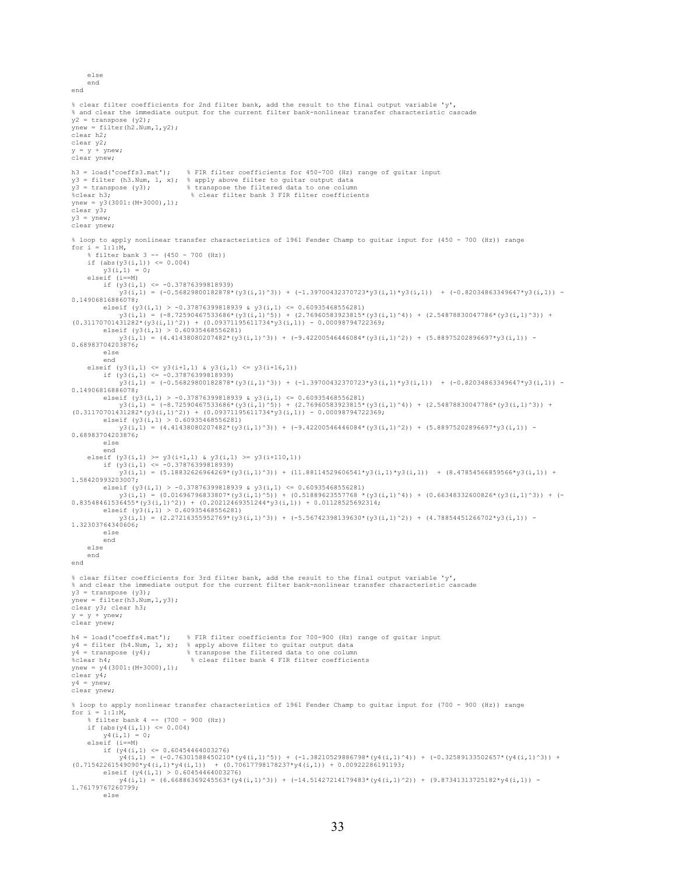```
 end 
end 
% clear filter coefficients for 2nd filter bank, add the result to the final output variable 'y', 
% and clear the immediate output for the current filter bank-nonlinear transfer characteristic cascade 
y2 = transpose (y2);
ynew = filter(h2.Num, 1, y2);
clear h2; 
clear y2; 
v = v + vnew;
clear ynew; 
h3 = load('coeffs3.mat'); % FIR filter coefficients for 450-700 (Hz) range of guitar input 
y3 = filter (h3.Num, 1, x); % apply above filter to guitar output data 
y3 = transpose (y3); % transpose the filtered data to one column 
%clear h3; % clear filter bank 3 FIR filter coefficients
vnew = v3(3001 : (M+3000) .1);
.<br>clear v3:
y3 = vnew;clear ynew; 
% loop to apply nonlinear transfer characteristics of 1961 Fender Champ to guitar input for (450 - 700 (Hz)) range 
for i = 1:1:M,
      % filter bank 3 -- (450 - 700 (Hz)) 
     if (abs(y3(i,1)) \leq 0.004)y3(i,1) = 0; elseif (i==M) 
         if (y3(i,1) \leq -0.37876399818939)y3(i,1) = (-0.56829800182878*(y3(i,1)^3)) + (-1.39700432370723*y3(i,1)*y3(i,1)) + (-0.82034863349647*y3(i,1)) -0.14906816886078; 
         elseif (y3(i,1) > -0.37876399818939 & y3(i,1) <= 0.60935468556281)
               y3(i,1) = (-8.72590467533686*(y3(i,1)^5)) + (2.76960583923815*(y3(i,1)^4)) + (2.54878830047786*(y3(i,1)^3)) + 
(0.31170701431282*(y3(i,1)^2)) + (0.09371195611734*y3(i,1)) - 0.00098794722369; elseif (y3(i,1) > 0.60935468556281)y3(i,1) = (4.41438080207482*(y3(i,1)^3)) + (-9.42200546446084*(y3(i,1)^2)) + (5.88975202896697*y3(i,1)) -0.68983704203876; 
          else 
end<br>elseif (y3(i,1) <= y3(i+1,1) & y3(i,1) <= y3(i+16,1))<br>if (y3(i,1) <= -0.37876399818939)<br>y3(i,1) = (-0.56829800182878*(y3(i,1)^3)) + (-1.39700432370723*y3(i,1)*y3(i,1)) + (-0.82034863349647*y3(i,1)) -
0.14906816886078; 
         elseif (y3(i,1) > -0.37876399818939 & y3(i,1) <= 0.60935468556281)
              y3(i,1) = (-8.72590467533686*(y3(i,1)^5)) + (2.76960583923815*(y3(i,1)^4)) + (2.54878830047786*(y3(i,1)^3)) +(0.31170701431282*(y3(i,1)^2)) + (0.09371195611734*y3(i,1)) - 0.00098794722369; 
 elseif (y3(i,1) > 0.60935468556281) 
 y3(i,1) = (4.41438080207482*(y3(i,1)^3)) + (-9.42200546446084*(y3(i,1)^2)) + (5.88975202896697*y3(i,1)) - 
0.68983704203876; 
          else 
          end 
     elseif (y3(i,1)) >= y3(i+1,1) & y3(i,1) >= y3(i+110,1))
         if (y3(i,1) \le -0.37876399818939) y3(i,1) = (5.18832626964269*(y3(i,1)^3)) + (11.88114529606541*y3(i,1)*y3(i,1)) + (8.47854566859566*y3(i,1)) + 
1.58420993203007; 
         elseif (y3(i,1) > -0.37876399818939 & y3(i,1) <= 0.60935468556281)
y3(i,1) = (0.01696796833807*(y3(i,1)^5)) + (0.51889623557768 *(y3(i,1)^4)) + (0.66348332600826*(y3(i,1)^3)) + (-<br>0.83548461536455*(y3(i,1)^2)) + (0.83542489351244*y3(i,1)) + 0.01128525692314;<br>elseif (y3(i,1) > 0.6093546855
             y3(i,1) = (2.27216355952769*(y3(i,1)^3)) + (-5.56742398139630*(y3(i,1)^2)) + (4.78854451266702*y3(i,1)) -1.32303764340606; 
          else 
          end 
      else 
     end 
end 
% clear filter coefficients for 3rd filter bank, add the result to the final output variable 'y', 
% and clear the immediate output for the current filter bank-nonlinear transfer characteristic cascade 
y3 =transpose (y3);
ynew = filter(h3.Num, 1, y3);
clear y3; clear h3; 
y = y + ynew; 
clear ynew; 
h4 = load('coeffs4.mat'); % FIR filter coefficients for 700-900 (Hz) range of guitar input 
y4 = filter (h4.Num, 1, x); % apply above filter to guitar output data 
y4 = transpose (y4); % transpose the filtered data to one column 
%clear h4; % clear filter bank 4 FIR filter coefficients 
ynew = y4(3001:(M+3000),1); 
.<br>clear y4;
y4 = ynew;clear ynew; 
% loop to apply nonlinear transfer characteristics of 1961 Fender Champ to guitar input for (700 - 900 (Hz)) range 
for i = 1:1:M,<br> % filter bank 4 -- (700 - 900 (Hz))
     if (abs(y4(i,1)) \le 0.004)v4(i,1) = 0; elseif (i==M) 
         if (y4(i,1) \le 0.60454464003276)y4(i,1) = (-0.76301588450210*(y4(i,1)^5)) + (-1.38210529886798*(y4(i,1)^4)) + (-0.32589133502657*(y4(i,1)^3)) +<br>(0.71542261549090*y4(i,1) + (0.0922286191193;<br>elseif (y4(i,1) > 0.60454464003276)
 y4(i,1) = (6.66886369245563*(y4(i,1)^3)) + (-14.51427214179483*(y4(i,1)^2)) + (9.87341313725182*y4(i,1)) - 
1.76179767260799; 
          else
```
else

```
33
```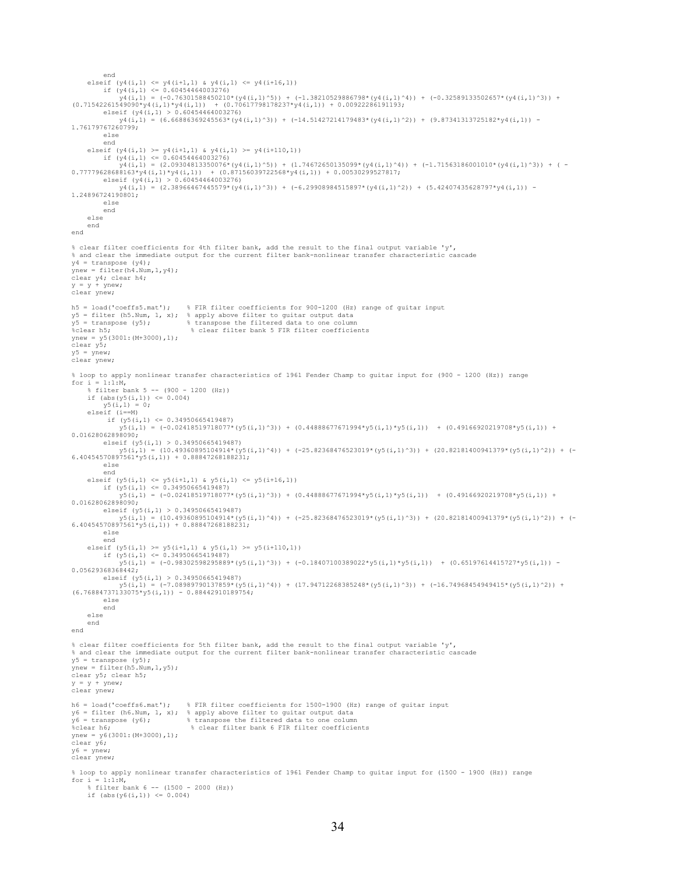```
end<br>elseif (y4(i,1) <= y4(i+1,1) & y4(i,1) <= y4(i+16,1))<br>if (y4(i,1) <= 0.60454464003276)<br>y4(i,1) = (-0.76301588450210*(y4(i,1)^5)) + (-1.38210529886798*(y4(i,1)^4)) + (-0.32589133502657*(y4(i,1)^3)) +
(0.71542261549090*yd(i,1)*y4(i,1)) + (0.70617798178237*yd(i,1)) + 0.00922286191193;elseif (y4(i,1) > 0.60454464003276)y_4(i_1,1) = (6.66886369245563*(y_4(i_1,1)^3)) + (-14.51427214179483*(y_4(i_1,1)^2)) + (9.87341313725182*y4(i,1)) -1.76179767260799; 
           else 
           end 
elseif (y4(i,1) \geq y4(i+1,1) & y4(i,1) \geq y4(i+110,1))<br>if (y4(i,1) \leq 0.60454464003276) y4(i,1) = (2.09304813350076*(y4(i,1)^5)) + (1.74672650135099*(y4(i,1)^4)) + (-1.71563186001010*(y4(i,1)^3)) + ( -
0.77779628688163*y4(i,1)*y4(i,1)) + (0.87156039722568*y4(i,1)) + 0.00530299527817; 
          elseif (y4(i,1) > 0.60454464003276) y4(i,1) = (2.38966467445579*(y4(i,1)^3)) + (-6.29908984515897*(y4(i,1)^2)) + (5.42407435628797*y4(i,1)) - 
1.24896724190801; 
           else 
           end 
      else 
      end 
end 
% clear filter coefficients for 4th filter bank, add the result to the final output variable 'y', 
% and clear the immediate output for the current filter bank-nonlinear transfer characteristic cascade 
y4 = transpose (y4);
vnew = filter(h4.Num, 1, v4);
clear y4; clear h4; 
y = y + ynew;
clear ynew; 
h5 = load('coeffs5.mat'); % FIR filter coefficients for 900-1200 (Hz) range of guitar input 
y5 = \text{filter (h5.Num, 1, x)}; % apply above filter to guitar output data<br>
y5 = \text{transfer (h5.Num, 1, x)}; % apply above filter to guitar output data<br>
y5 = \text{transpose (y5)}; % transpose the filtered data to one column
y5 = transpose (y5); \frac{1}{3} & transpose the filtered data to one column \frac{1}{3} clear filter bank 5 FIR filter coefficients
ynew = y5(3001:(M+3000),1);clear y5; 
y5 = ynew;clear ynew; 
% loop to apply nonlinear transfer characteristics of 1961 Fender Champ to guitar input for (900 - 1200 (Hz)) range 
for i = 1:1:M,
      % filter bank 5 -- (900 - 1200 (Hz)) 
     if (abs(y5(i,1)) \le 0.004)y5(i,1) = 0;<br>elseif (i == M)elseif (i==M)<br>
if (y5(i,1) <= 0.34950665419487)<br>
y5(i,1) = (-0.02418519718077*(y5(i,1)^3)) + (0.44888677671994*y5(i,1)*y5(i,1)) + (0.49166920219708*y5(i,1)) +<br>
0.0162806289809;
           elseif (y5(i,1) > 0.34950665419487) 
 y5(i,1) = (10.49360895104914*(y5(i,1)^4)) + (-25.82368476523019*(y5(i,1)^3)) + (20.82181400941379*(y5(i,1)^2)) + (-
6.40454570897561*y5(i,1)) + 0.88847268188231; 
           else 
 end 
 elseif (y5(i,1) <= y5(i+1,1) & y5(i,1) <= y5(i+16,1)) 
 if (y5(i,1) <= 0.34950665419487) 
                y5(i,1) = (-0.02418519718077*(y5(i,1)^3)) + (0.44888677671994*y5(i,1)*y5(i,1)) + (0.49166920219708*y5(i,1)) +0.01628062898090; 
           elseif (y5(i,1) > 0.34950665419487) 
 y5(i,1) = (10.49360895104914*(y5(i,1)^4)) + (-25.82368476523019*(y5(i,1)^3)) + (20.82181400941379*(y5(i,1)^2)) + (-
6.40454570897561*y5(i,1)) + 0.88847268188231; 
           else 
 end 
 elseif (y5(i,1) >= y5(i+1,1) & y5(i,1) >= y5(i+110,1)) 
 if (y5(i,1) <= 0.34950665419487) 
                 y5(i,1) = (-0.98302598295889*(y5(i,1)^3)) + (-0.18407100389022*y5(i,1)*y5(i,1)) + (0.65197614415727*y5(i,1)) - 
0.05629368368442;<br>elseif (y5(i,1) > 0.34950665419487)
elseif (y5(i,1) > 0.34950665419487)<br>(6.76884737133075*y5(i,1) = (-7.08947312268385248*(y5(i,1)^3)) + (-16.74968454949415*(y5(i,1)^2)) +<br>(6.76884737133075*y5(i,1)) - 0.88442910189754;
           else 
           end 
      else 
      end 
end 
% clear filter coefficients for 5th filter bank, add the result to the final output variable 'y', 
% and clear the immediate output for the current filter bank-nonlinear transfer characteristic cascade 
y5 = transpose (y5); 
ynew = filter(h5.Num,1,y5); 
clear y5; clear h5; 
y = y + ynew;clear ynew; 
h6 = load('coeffs6.mat'); % FIR filter coefficients for 1500-1900 (Hz) range of guitar input 
y6 = filter (h6.Num, 1, x); % apply above filter to guitar output data 
y6 = transpose (y6); % transpose the filtered data to one column 
%clear h6; % clear filter bank 6 FIR filter coefficients 
vnew = v6(3001: (M+3000), 1);
clear y6; 
y6 = ynew; 
clear ynew; 
% loop to apply nonlinear transfer characteristics of 1961 Fender Champ to guitar input for (1500 - 1900 (Hz)) range 
for i = 1:1:M,<br> % filter bank 6 -- (1500 - 2000 (Hz))
     if (abs(y6(i,1)) \leq 0.004)
```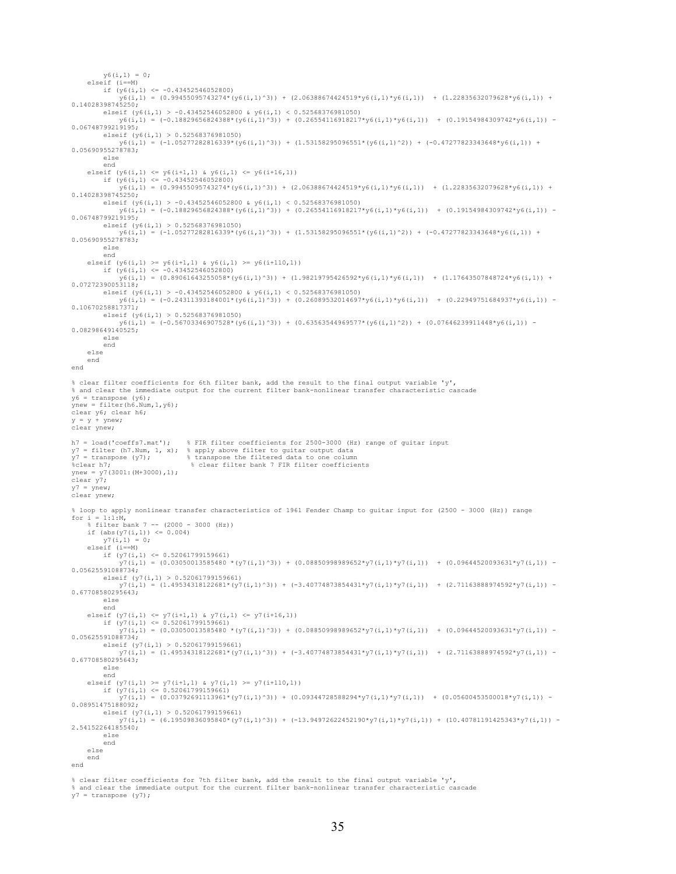$y6(i,1) = 0;$  elseif (i==M) if  $(y6(i,1) \leq -0.43452546052800)$  y6(i,1) = (0.99455095743274\*(y6(i,1)^3)) + (2.06388674424519\*y6(i,1)\*y6(i,1)) + (1.22835632079628\*y6(i,1)) + 0.14028398745250; elseif (y6(i,1) > -0.43452546052800 & y6(i,1) < 0.52568376981050)<br>y6(i,1) = (-0.18829656824388\*(y6(i,1)^3)) + (0.26554116918217\*y6(i,1)\*y6(i,1)) + (0.19154984309742\*y6(i,1)) -0.06748799219195; elseif (y6(i,1) > 0.52568376981050) y6(i,1) = (-1.05277282816339\*(y6(i,1)^3)) + (1.53158295096551\*(y6(i,1)^2)) + (-0.47277823343648\*y6(i,1)) + 0.05690955278783; else end<br>elseif (y6(i,1) <= y6(i+1,1) & y6(i,1) <= y6(i+16,1))<br>if (y6(i,1) <= -0.43452546052800)<br>y6(i,1) = (0.99455095743274\*(y6(i,1)^3)) + (2.06388674424519\*y6(i,1)\*y6(i,1)) + (1.22835632079628\*y6(i,1)) + 0.14028398745250; elseif (y6(i,1) > -0.43452546052800 & y6(i,1) < 0.52568376981050)<br>y6(i,1) = (-0.18829656824388\*(y6(i,1)^3)) + (0.26554116918217\*y6(i,1)\*y6(i,1)) + (0.19154984309742\*y6(i,1)) -0.06748799219195; elseif (y6(i,1) > 0.52568376981050)  $y6(i,1) = (-1.05277282816339*(y6(i,1)^3)) + (1.53158295096551*(y6(i,1)^2)) + (-0.47277823343648*y6(i,1)) +$ 0.05690955278783; else end<br>elseif (y6(i,1) >= y6(i+1,1) & y6(i,1) >= y6(i+110,1))<br>if (y6(i,1) <= -0.43452546052800)<br>y6(i,1) = (0.89061643255058\*(y6(i,1)^3)) + (1.98219795426592\*y6(i,1)\*y6(i,1)) + (1.17643507848724\*y6(i,1)) + 0.07272390053118; elseif (y6(i,1) > -0.43452546052800 & y6(i,1) < 0.52568376981050)<br>y6(i,1) = (-0.24311393184001\*(y6(i,1)^3)) + (0.26089532014697\*y6(i,1)\*y6(i,1)) + (0.22949751684937\*y6(i,1)) - $0.10670258817371;$ <br>elseif (y6(i,1) > 0.52568376981050) elseif (y6(i,1) > 0.52568376981050)<br>y6(i,1) = (-0.56703346907528\*(y6(i,1)^3)) + (0.63563544969577\*(y6(i,1)^2)) + (0.07646239911448\*y6(i,1)) -<br>0.08298649140525; else end else end end % clear filter coefficients for 6th filter bank, add the result to the final output variable 'y', % and clear the immediate output for the current filter bank-nonlinear transfer characteristic cascade y6 = transpose (y6); ynew = filter(h6.Num,1,y6); clear y6; clear h6;  $y = y + y$ new; clear ynew; h7 = load('coeffs7.mat'); % FIR filter coefficients for 2500-3000 (Hz) range of guitar input y7 = filter (h7.Num, 1, x); % apply above filter to guitar output data y7 = transpose (y7); % transpose the filtered data to one column %clear h7; % clear filter bank 7 FIR filter coefficients  $ynew = y7(3001:(M+3000),1);$ .<br>clear y<sup>7</sup>; y7 = ynew;<br>clear ynew; % loop to apply nonlinear transfer characteristics of 1961 Fender Champ to guitar input for (2500 - 3000 (Hz)) range for  $i = 1:1:M$ ,  $\frac{1}{2}$  filter bank 7 -- (2000 - 3000 (Hz)) if  $(abs(y7(i,1)) \le 0.004)$  $v7(i,1) = 0;$  elseif (i==M) if  $(y7(i,1) \le 0.52061799159661)$  $y_1(x_1,1) = (0.03050013585480 \star (y7(i,1)^2)) + (0.08850998989652 \star y7(i,1) \star y7(i,1)) + (0.09644520093631 \star y7(i,1)) -$ 0.05625591088734; elseif  $(y7(i,1) > 0.52061799159661)$  $y7(i,1) = (1.49534318122681*(y7(i,1)^3)) + (-3.40774873854431*x)(i,1)*y7(i,1)) + (2.71163888974592*y7(i,1)) -$ 0.67708580295643; else end<br>elseif (y7(i,1) <= y7(i+1,1) & y7(i,1) <= y7(i+16,1))<br>if (y7(i,1) <= 0.52061799159661)<br>y7(i,1) = (0.03050013585480 \*(y7(i,1)^3)) + (0.08850998989652\*y7(i,1)\*y7(i,1)) + (0.09644520093631\*y7(i,1)) -0.05625591088734; elseif  $(y7(i,1) > 0.52061799159661)$  $y7(i,1) = (1.49534318122681*(y7(i,1)^3)) + (-3.40774873854431*y7(i,1)*y7(i,1)) + (2.71163888974592*y7(i,1)) -$ 0.67708580295643; else end<br>elseif (y7(i,1) >= y7(i+1,1) & y7(i,1) >= y7(i+110,1))<br>if (y7(i,1) <= 0.52061799159661)<br>y7(i,1) = (0.03792691113961\*(y7(i,1)^3)) + (0.09344728588294\*y7(i,1)\*y7(i,1)) + (0.05600453500018\*y7(i,1)) -0.08951475188092; elseif (y7(i,1) > 0.52061799159661)  $y7(i,1) = (6.19509836095840*(y7(i,1)^3))$  + (-13.94972622452190\*y7(i,1)\*y7(i,1)) + (10.40781191425343\*y7(i,1)) -2.54152264185540; else end else end end

% clear filter coefficients for 7th filter bank, add the result to the final output variable 'y', % and clear the immediate output for the current filter bank-nonlinear transfer characteristic cascade  $y7 =$  transpose (y7);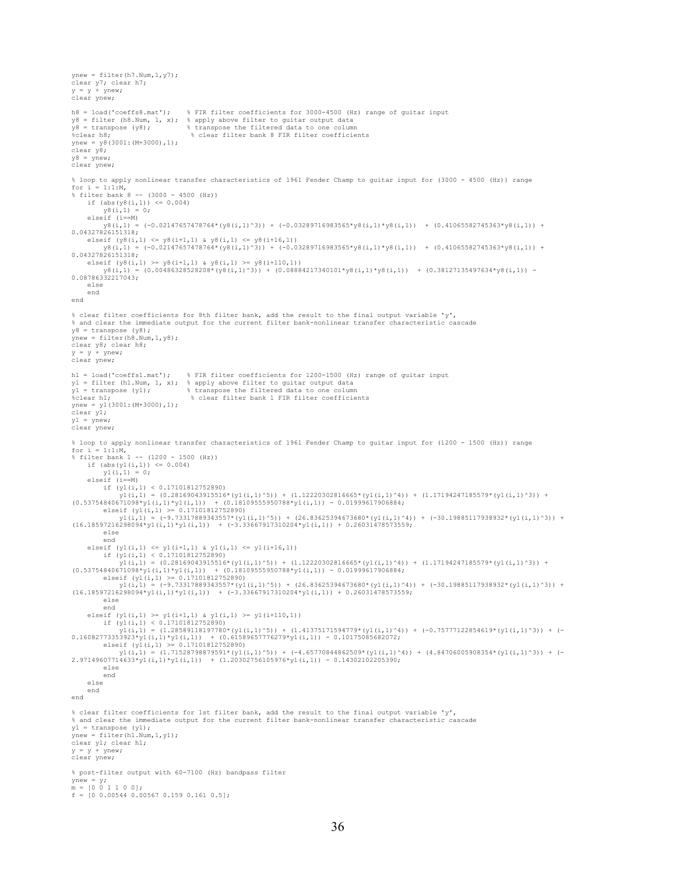```
ynew = filter(h7.Num, 1, y7);
clear y7; clear h7; 
y = y + ynew;
clear ynew; 
h8 = load('coeffs8.mat'); % FIR filter coefficients for 3000-4500 (Hz) range of guitar input 
y8 = filter (h8.Num, 1, x); % apply above filter to guitar output data 
y8 = transpose (y8); % transpose the filtered data to one column 
%clear h8; % clear filter bank 8 FIR filter coefficients 
ynew = y8(3001:(M+3000),1);clear y8; 
y8 = ynew;clear ynew; 
% loop to apply nonlinear transfer characteristics of 1961 Fender Champ to guitar input for (3000 - 4500 (Hz)) range 
for i = 1:1:M,
% filter bank 8 -- (3000 - 4500 (Hz)) 
    if (\text{abs}(y8(i,1)) \le 0.004)<br>y8(i,1) = 0:
          y8(i,1) elseif (i==M) 
         \frac{1}{y8}(i,1) = (-0.02147657478764*(y8(i,1)^3)) + (-0.03289716983565*y8(i,1)*y8(i,1)) + (0.41065582745363*y8(i,1)) +
0.04327826151318; 
 elseif (y8(i,1) <= y8(i+1,1) & y8(i,1) <= y8(i+16,1)) 
 y8(i,1) = (-0.02147657478764*(y8(i,1)^3)) + (-0.03289716983565*y8(i,1)*y8(i,1)) + (0.41065582745363*y8(i,1)) + 
0.04327826151318;<br>| elseif (y8(i,1) >= y8(i+1,1) & y8(i,1) >= y8(i+110,1))<br>| y8(i,1) = (0.00486328528208*(y8(i,1)^3)) + (0.08884217340101*y8(i,1)*y8(i,1)) + (0.38127135497634*y8(i,1)) -<br>0.08786332217043;
      else 
     end 
end 
% clear filter coefficients for 8th filter bank, add the result to the final output variable 'y', 
% and clear the immediate output for the current filter bank-nonlinear transfer characteristic cascade 
y8 = transpose (y8); 
ynew = filter(h8.Num,1,y8); 
clear y8; clear h8;<br>y = y + ynew;
clear ynew; 
h1 = load('coeffs1.mat'); % FIR filter coefficients for 1200-1500 (Hz) range of guitar input
y1 = filter (h1.Num, 1, x); % apply above filter to guitar output data 
y1 = transpose (y1); % transpose the filtered data to one column 
%clear h1; % clear filter bank 1 FIR filter coefficients 
ynew = y1(3001:(M+3000),1);clear y1; 
y1 = ynew;clear ynew; 
% loop to apply nonlinear transfer characteristics of 1961 Fender Champ to guitar input for (1200 - 1500 (Hz)) range 
for i = 1:1:M, 
% filter bank 1 -- (1200 - 1500 (Hz)) 
    if (abs(y1(i,1)) \leq 0.004)y1(i,1) = 0; elseif (i==M) 
         if (y1(i,1) < 0.17101812752890)(0.53754840671098^*y1(i,1) = (0.28169043915516^*(y1(i,1)^5)) + (1.12220302816665^*(y1(i,1)^4)) + (1.17194247185579^*(y1(i,1)^3)) + (0.53754840671098^*y1(i,1)^3))<br>
elseif (y1(i,1) >= 0.17101812752890)<br>
elseif (y1(i,1) >= 0.17101812752890)
y1(i,1) = (-9.73317889343557*(y1(i,1)^5)) + (26.83625394673680*(y1(i,1)^4)) + (-30.19885117938932*(y1(i,1)^3)) + (16.18597216298094*y1(i,1)*y1(i,1)) + (-3.33667917310204*y1(i,1)) + 0.26031478573559; else 
           end 
     elseif (y1(i,1) <= y1(i+1,1) & y1(i,1) <= y1(i+16,1))
 if (y1(i,1) < 0.17101812752890) 
 y1(i,1) = (0.28169043915516*(y1(i,1)^5)) + (1.12220302816665*(y1(i,1)^4)) + (1.17194247185579*(y1(i,1)^3)) + 
(0.53754840671098*y1(i,1)*y1(i,1)) + (0.18109555950788*y1(i,1)) - 0.01999617906884;<br>elseif (y1(i,1) >= 0.17101812752890)
y1(i,1) = (-9.73317889343557*(y1(i,1)^5)) + (26.83625394673680*(y1(i,1)^4)) + (-30.19885117938932*(y1(i,1)^3)) + (16.18597216298094*y1(i,1)*y1(i,1)) + (-3.33667917310204*y1(i,1)) + 0.26031478573559; else 
           end 
     elseif (y1(i,1) \ge y1(i+1,1) & y1(i,1) \ge y1(i+110,1) if (y1(i,1) < 0.17101812752890) 
 y1(i,1) = (1.28589118197780*(y1(i,1)^5)) + (1.41375171594779*(y1(i,1)^4)) + (-0.75777122854619*(y1(i,1)^3)) + (-
0.16082773353923*y1(i,1)*y1(i,1)) + (0.61589657776279*y1(i,1)) - 0.10175085682072;<br>elseif (y1(i,1) >= 0.17101812752890)
 y1(i,1) = (1.71528798879591*(y1(i,1)^5)) + (-4.65770844862509*(y1(i,1)^4)) + (4.84706005908354*(y1(i,1)^3)) + (-
2.97149607714633*y1(i,1)*y1(i,1)) + (1.20302756105976*y1(i,1)) - 0.14302102205390; 
           else 
           end 
     else 
     end 
end 
% clear filter coefficients for 1st filter bank, add the result to the final output variable 'y', 
% and clear the immediate output for the current filter bank-nonlinear transfer characteristic cascade 
y1 = transpose (y1); 
vnew = filter(h1.Wum, 1, v1);clear y1; clear h1;
v = v + vnew;
clear ynew; 
% post-filter output with 60-7100 (Hz) bandpass filter 
ynew = y; 
m = [0 0 1 1 0 0]; 
f = [0 \ 0.00544 \ 0.00567 \ 0.159 \ 0.161 \ 0.5];
```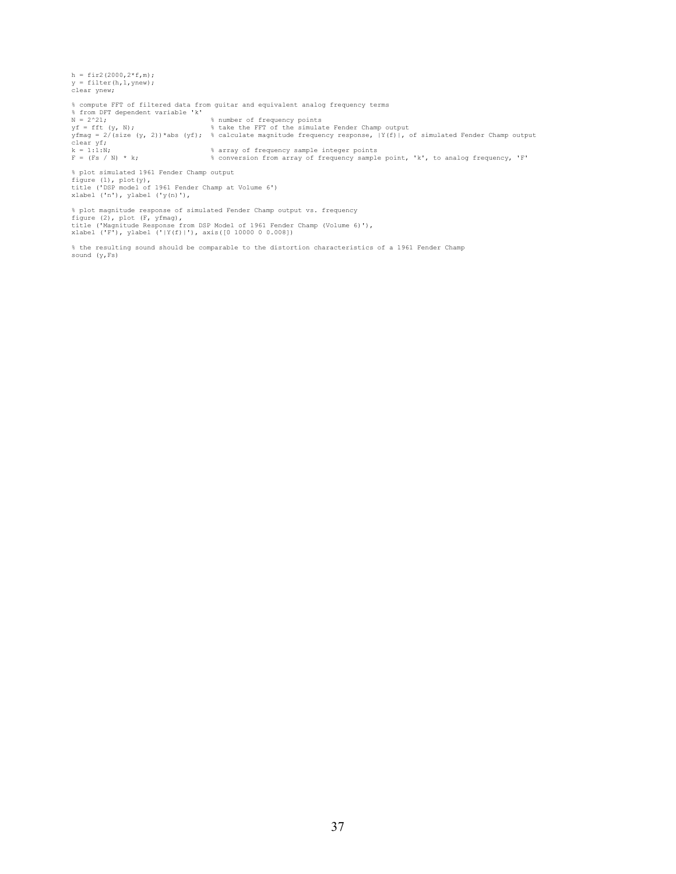h = fir2(2000,2\*f,m); y = filter(h,1,ynew); clear ynew; % compute FFT of filtered data from guitar and equivalent analog frequency terms % from DFT dependent variable 'k' N = 2^21; % number of frequency points yf = fft (y, N);<br>  $\frac{1}{2}$  = 2/(size (y, 2))\*abs (yf); & calculate magnitude frequency response, |Y(f)|, of simulated Fender Champ output<br>
clear yf;<br>
x = 1:1:N; & array of frequency sample integer points<br>
x = 1:1:N; & con % plot simulated 1961 Fender Champ output

figure (1), plot(y),<br>title ('DSP model of 1961 Fender Champ at Volume 6')<br>xlabel ('n'), ylabel ('y(n)'), % plot magnitude response of simulated Fender Champ output vs. frequency

figure (2), plot (F, yfmag),<br>title ('Magnitude Response from DSP Model of 1961 Fender Champ (Volume 6)'),<br>xlabel ('F'), ylabel ('|Y(f)|'), axis([0 10000 0 0.008])

% the resulting sound should be comparable to the distortion characteristics of a 1961 Fender Champ sound (y,Fs)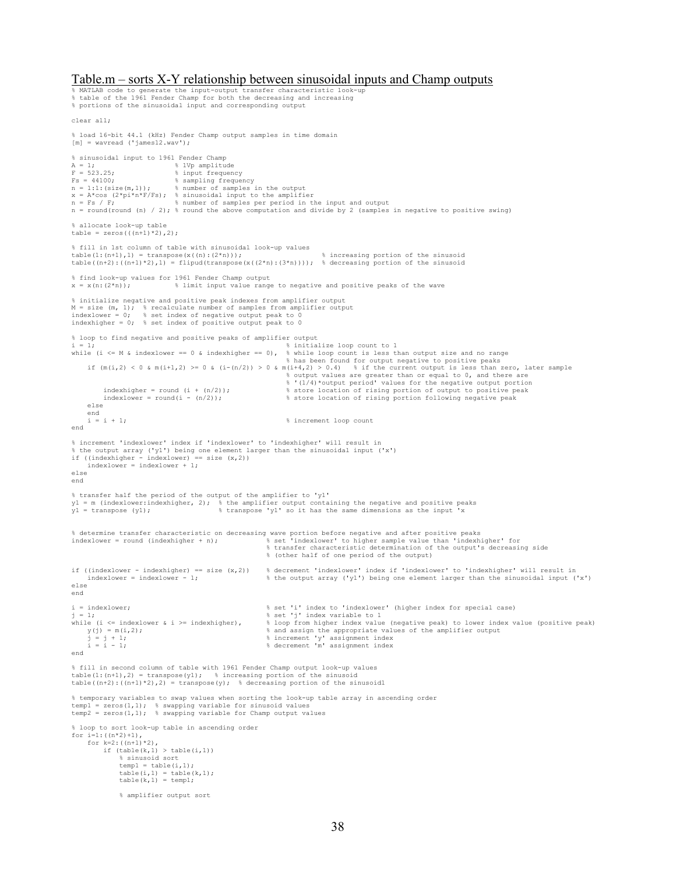#### Table.m – sorts X-Y relationship between sinusoidal inputs and Champ outputs

% MATLAB code to generate the input-output transfer characteristic look-up % table of the 1961 Fender Champ for both the decreasing and increasing % portions of the sinusoidal input and corresponding output clear all; % load 16-bit 44.1 (kHz) Fender Champ output samples in time domain  $[m]$  = wavread ('james12.wav'); % sinusoidal input to 1961 Fender Champ<br>  $A = 1$ ;<br>  $F = 523.25$ ;<br>
% input frequency A = 1;<br>  $F = 523.25$ ;<br>  $\frac{1}{2}$  & input frequency Fs = 44100; % sampling frequency n = 1:1:(size(m,1)); % number of samples in the output x = A\*cos (2\*pi\*n\*F/Fs); % sinusoidal input to the amplifier n = Fs / F; % number of samples per period in the input and output n = round(round (n) / 2); % round the above computation and divide by 2 (samples in negative to positive swing) % allocate look-up table table = zeros( $((n+1)*2)$ , 2); % fill in 1st column of table with sinusoidal look-up values table(1:(n+1),1) = transpose(x((n):(2\*n))); % increasing portion of the sinusoid table((n+2):((n+1)\*2),1) = flipud(transpose(x((2\*n):(3\*n)))); % decreasing portion of the sinusoid % find look-up values for 1961 Fender Champ output  $x = x(n:(2*n))$ ; % limit input value range \* limit input value range to negative and positive peaks of the wave % initialize negative and positive peak indexes from amplifier output M = size (m, 1); % recalculate number of samples from amplifier output indexlower = 0; % set index of negative output peak to 0 indexhigher = 0; % set index of positive output peak to 0 % loop to find negative and positive peaks of amplifier output i = 1; % initialize loop count to 1 while (i <= M & indexlower == 0 & indexhigher == 0), % while loop count is less than output size and no range % has been found for output negative to positive peaks »<br>if (m(i,2) < 0 & m(i+1,2) >= 0 & (i-(n/2)) > 0 & m(i+4,2) > 0.4) % if the current output is less than zero, later sample % output values are greater than or equal to 0, and there are \$<br>Willy\*output period' values for the negative output portion (i + (n/2));<br>store location of rising portion of output to positive peak \$  $indexlower = round(i - (n/2))$ ; <br>  $% score location of rising portion following negative peak$  else end<br> $i = i + 1;$ % increment loop count end % increment 'indexlower' index if 'indexlower' to 'indexhigher' will result in % the output array ('y1') being one element larger than the sinusoidal input ('x')<br>if ((indexhigher - indexlower) == size (x,2))<br>indexlower = indexlower + 1; else end % transfer half the period of the output of the amplifier to 'y1' y1 = m (indexlower:indexhigher, 2); % the amplifier output containing the negative and positive peaks y1 = transpose (y1); % transpose 'y1' so it has the same dimensions as the input 'x % determine transfer characteristic on decreasing wave portion before negative and after positive peaks indexlower = round (indexhigher + n); % set 'indexlower' to higher sample value than 'indexhigher' for % transfer characteristic determination of the output's decreasing side % (other half of one period of the output) if ((indexlower - indexhigher) == size  $(x, 2)$ ) & decrement 'indexlower' index if 'indexlower' to 'indexhigher' will result in<br>indexlower = indexlower - 1; <br>the output array ('yl') being one element larger than the sinuso else end i = indexlower; % set 'i' index to 'indexlower' (higher index for special case) j = 1; % set 'j' index variable to 1 while (i <= indexlower & i >= indexhigher), <br>  $y(j) = m(i, 2)$ ; <br>  $j = j + 1$ ; <br>  $i = j + 1$ ; <br>  $k = j + 1$ ; <br>  $k = j + 1$ ; <br>  $k = j + 1$ ; <br>  $k = j + 1$ ; <br>  $k = j + 1$ ; <br>  $k = j + 1$ ; <br>  $k = j + 1$ ; <br>  $k = j + 1$ ; <br>  $k = j + 1$ ; <br>  $k = j + 1$ ; <br>  $k = j + 1$ ; <br>  $k =$  y(j) = m(i,2); % and assign the appropriate values of the amplifier output j = j + 1; % increment 'y' assignment index i = i - 1; % decrement 'm' assignment index end % fill in second column of table with 1961 Fender Champ output look-up values<br>table(1:(n+1),2) = transpose(y1); % increasing portion of the sinusoid<br>table((n+2):((n+1)\*2),2) = transpose(y); % decreasing portion of the s % temporary variables to swap values when sorting the look-up table array in ascending order<br>temp1 = zeros(1,1); % swapping variable for sinusoid values<br>temp2 = zeros(1,1); % swapping variable for Champ output values % loop to sort look-up table in ascending order for  $i=1$ : ( $(n*2)+1$ ), for  $k=2$ : ( $(n+1)*2$ ), if  $(table(k,1) > table(i,1))$  % sinusoid sort temp1 = table(i,1);<br>table(i,1) = table(k,1);<br>table(k,1) = temp1; % amplifier output sort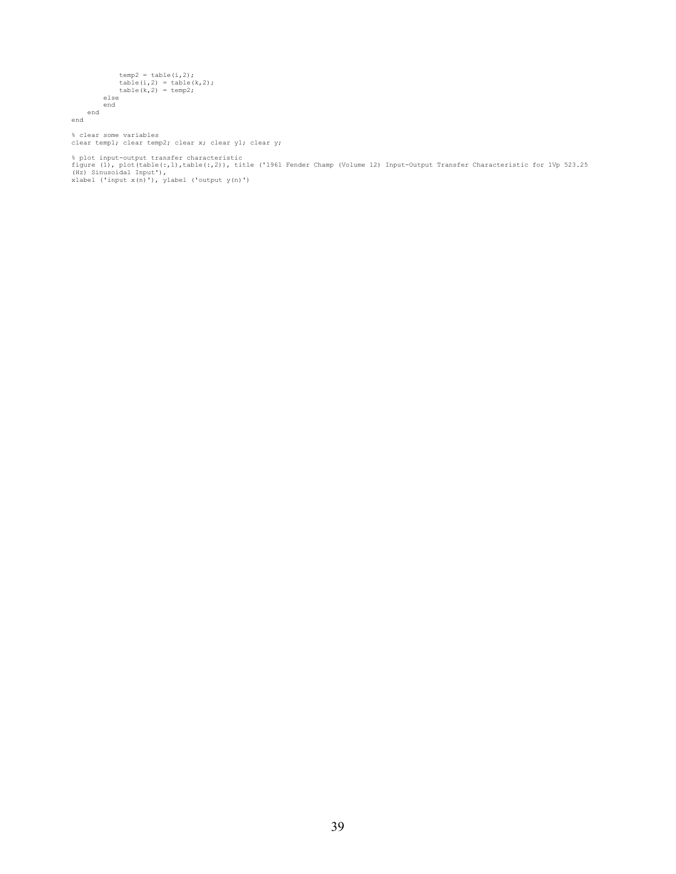```
temp2 = table(i,2);<br>
table(i,2) = table(k,2);<br>
table(k,2) = temp2;
 else 
 end 
 end 
end
```
% clear some variables<br>clear temp1; clear temp2; clear x; clear y1; clear y;

% plot input-output transfer characteristic<br>figure (1), plot(table(:,1),table(:,2)), title ('1961 Fender Champ (Volume 12) Input-Output Transfer Characteristic for 1Vp 523.25<br>(Hz) Sinusoidal Input'),<br>xlabel ('input x(n)'),